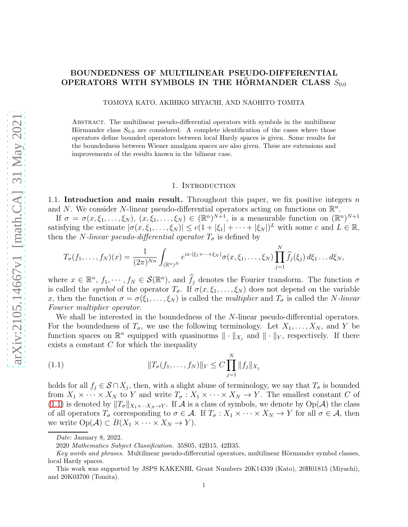# BOUNDEDNESS OF MULTILINEAR PSEUDO-DIFFERENTIAL OPERATORS WITH SYMBOLS IN THE HORMANDER CLASS  $S_{0,0}$

TOMOYA KATO, AKIHIKO MIYACHI, AND NAOHITO TOMITA

Abstract. The multilinear pseudo-differential operators with symbols in the multilinear Hörmander class  $S_{0,0}$  are considered. A complete identification of the cases where those operators define bounded operators between local Hardy spaces is given. Some results for the boundedness between Wiener amalgam spaces are also given. These are extensions and improvements of the results known in the bilinear case.

### 1. INTRODUCTION

1.1. Introduction and main result. Throughout this paper, we fix positive integers  $n$ and N. We consider N-linear pseudo-differential operators acting on functions on  $\mathbb{R}^n$ .

If  $\sigma = \sigma(x, \xi_1, \ldots, \xi_N)$ ,  $(x, \xi_1, \ldots, \xi_N) \in (\mathbb{R}^n)^{N+1}$ , is a measurable function on  $(\mathbb{R}^n)^{N+1}$ satisfying the estimate  $|\sigma(x,\xi_1,\ldots,\xi_N)| \leq c(1+|\xi_1|+\cdots+|\xi_N|)^L$  with some c and  $L \in \mathbb{R}$ , then the N-linear pseudo-differential operator  $T_{\sigma}$  is defined by

$$
T_{\sigma}(f_1,\ldots,f_N)(x) = \frac{1}{(2\pi)^{Nn}} \int_{(\mathbb{R}^n)^N} e^{ix\cdot(\xi_1+\cdots+\xi_N)} \sigma(x,\xi_1,\ldots,\xi_N) \prod_{j=1}^N \widehat{f}_j(\xi_j) d\xi_1 \ldots d\xi_N,
$$

where  $x \in \mathbb{R}^n$ ,  $f_1, \dots, f_N \in \mathcal{S}(\mathbb{R}^n)$ , and  $\widehat{f}_j$  denotes the Fourier transform. The function  $\sigma$ is called the *symbol* of the operator  $T_{\sigma}$ . If  $\sigma(x,\xi_1,\ldots,\xi_N)$  does not depend on the variable x, then the function  $\sigma = \sigma(\xi_1, \ldots, \xi_N)$  is called the *multiplier* and  $T_{\sigma}$  is called the *N*-linear Fourier multiplier operator.

We shall be interested in the boundedness of the N-linear pseudo-differential operators. For the boundedness of  $T_{\sigma}$ , we use the following terminology. Let  $X_1, \ldots, X_N$ , and Y be function spaces on  $\mathbb{R}^n$  equipped with quasinorms  $\|\cdot\|_{X_j}$  and  $\|\cdot\|_Y$ , respectively. If there exists a constant  $C$  for which the inequality

<span id="page-0-0"></span>(1.1) 
$$
||T_{\sigma}(f_1,\ldots,f_N)||_Y \leq C \prod_{j=1}^N ||f_j||_{X_j}
$$

holds for all  $f_j \in \mathcal{S} \cap X_j$ , then, with a slight abuse of terminology, we say that  $T_{\sigma}$  is bounded from  $X_1 \times \cdots \times X_N$  to Y and write  $T_{\sigma}: X_1 \times \cdots \times X_N \to Y$ . The smallest constant C of [\(1.1\)](#page-0-0) is denoted by  $||T_{\sigma}||_{X_1\times\cdots X_N\to Y}$ . If A is a class of symbols, we denote by  $Op(\mathcal{A})$  the class of all operators  $T_{\sigma}$  corresponding to  $\sigma \in \mathcal{A}$ . If  $T_{\sigma}: X_1 \times \cdots \times X_N \to Y$  for all  $\sigma \in \mathcal{A}$ , then we write  $Op(\mathcal{A}) \subset B(X_1 \times \cdots \times X_N \to Y)$ .

Date: January 8, 2022.

<sup>2020</sup> Mathematics Subject Classification. 35S05, 42B15, 42B35.

Key words and phrases. Multilinear pseudo-differential operators, multilinear Hörmander symbol classes, local Hardy spaces.

This work was supported by JSPS KAKENHI, Grant Numbers 20K14339 (Kato), 20H01815 (Miyachi), and 20K03700 (Tomita).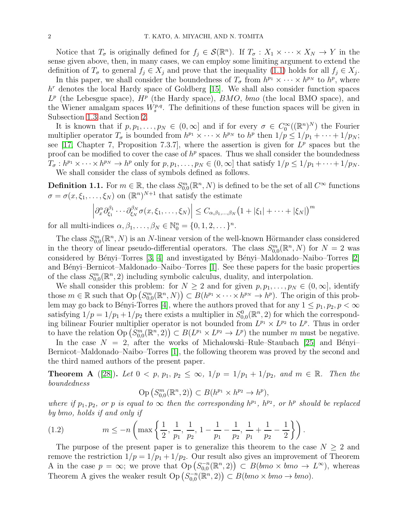Notice that  $T_{\sigma}$  is originally defined for  $f_j \in \mathcal{S}(\mathbb{R}^n)$ . If  $T_{\sigma}: X_1 \times \cdots \times X_N \to Y$  in the sense given above, then, in many cases, we can employ some limiting argument to extend the definition of  $T_{\sigma}$  to general  $f_j \in X_j$  and prove that the inequality [\(1.1\)](#page-0-0) holds for all  $f_j \in X_j$ .

In this paper, we shall consider the boundedness of  $T_{\sigma}$  from  $h^{p_1} \times \cdots \times h^{p_N}$  to  $h^p$ , where  $h<sup>r</sup>$  denotes the local Hardy space of Goldberg  $[15]$ . We shall also consider function spaces  $L^p$  (the Lebesgue space),  $H^p$  (the Hardy space),  $BMO$ ,  $bmo$  (the local BMO space), and the Wiener amalgam spaces  $W_s^{p,q}$ . The definitions of these function spaces will be given in Subsection [1.3](#page-3-0) and Section [2.](#page-4-0)

It is known that if  $p, p_1, \ldots, p_N \in (0, \infty]$  and if for every  $\sigma \in C_0^{\infty}((\mathbb{R}^n)^N)$  the Fourier multiplier operator  $T_{\sigma}$  is bounded from  $h^{p_1} \times \cdots \times h^{p_N}$  to  $h^p$  then  $1/p \leq 1/p_1 + \cdots + 1/p_N$ ; see [17, Chapter 7, Proposition 7.3.7], where the assertion is given for  $L^p$  spaces but the proof can be modified to cover the case of  $h^p$  spaces. Thus we shall consider the boundedness  $T_{\sigma}: h^{p_1} \times \cdots \times h^{p_N} \to h^p$  only for  $p, p_1, \ldots, p_N \in (0, \infty]$  that satisfy  $1/p \leq 1/p_1 + \cdots + 1/p_N$ . We shall consider the class of symbols defined as follows.

**Definition 1.1.** For  $m \in \mathbb{R}$ , the class  $S^m_{0,0}(\mathbb{R}^n, N)$  is defined to be the set of all  $C^{\infty}$  functions  $\sigma = \sigma(x, \xi_1, \dots, \xi_N)$  on  $(\mathbb{R}^n)^{N+1}$  that satisfy the estimate

$$
\left|\partial_x^{\alpha}\partial_{\xi_1}^{\beta_1}\cdots\partial_{\xi_N}^{\beta_N}\sigma(x,\xi_1,\ldots,\xi_N)\right|\leq C_{\alpha,\beta_1,\ldots,\beta_N}\big(1+|\xi_1|+\cdots+|\xi_N|\big)^m
$$

for all multi-indices  $\alpha, \beta_1, \ldots, \beta_N \in \mathbb{N}_0^n = \{0, 1, 2, \ldots\}^n$ .

The class  $S_{0,0}^m(\mathbb{R}^n, N)$  is an N-linear version of the well-known Hörmander class considered in the theory of linear pseudo-differential operators. The class  $S_{0,0}^m(\mathbb{R}^n, N)$  for  $N = 2$  was considered by Bényi–Torres  $\vert 3, 4 \vert$  and investigated by Bényi–Maldonado–Naibo–Torres  $\vert 2 \vert$ and Bényi–Bernicot–Maldonado–Naibo–Torres [\[1\]](#page-19-3). See these papers for the basic properties of the class  $S_{0,0}^m(\mathbb{R}^n,2)$  including symbolic calculus, duality, and interpolation.

We shall consider this problem: for  $N \geq 2$  and for given  $p, p_1, \ldots, p_N \in (0, \infty]$ , identify those  $m \in \mathbb{R}$  such that  $\text{Op}(S^m_{0,0}(\mathbb{R}^n, N)) \subset B(h^{p_1} \times \cdots \times h^{p_N} \to h^p)$ . The origin of this prob-lem may go back to Bényi-Torres [\[4\]](#page-19-1), where the authors proved that for any  $1 \leq p_1, p_2, p < \infty$ satisfying  $1/p = 1/p_1 + 1/p_2$  there exists a multiplier in  $S_{0,0}^{0}(\mathbb{R}^n, 2)$  for which the corresponding bilinear Fourier multiplier operator is not bounded from  $L^{p_1} \times L^{p_2}$  to  $L^p$ . Thus in order to have the relation  $\text{Op}(\tilde{S}_{0,0}^m(\mathbb{R}^n,2)) \subset B(L^{p_1} \times L^{p_2} \to L^p)$  the number m must be negative.

In the case  $N = 2$ , after the works of Michalowski–Rule–Staubach [\[25\]](#page-20-0) and Bényi– Bernicot–Maldonado–Naibo–Torres [\[1\]](#page-19-3), the following theorem was proved by the second and the third named authors of the present paper.

**Theorem A** ([\[28\]](#page-20-1)). Let  $0 < p, p_1, p_2 \le \infty$ ,  $1/p = 1/p_1 + 1/p_2$ , and  $m \in \mathbb{R}$ . Then the boundedness

<span id="page-1-0"></span>
$$
\mathrm{Op}\left(S_{0,0}^m(\mathbb{R}^n,2)\right)\subset B(h^{p_1}\times h^{p_2}\to h^p),
$$

where if  $p_1, p_2$ , or p is equal to  $\infty$  then the corresponding  $h^{p_1}, h^{p_2}$ , or  $h^p$  should be replaced by bmo, holds if and only if

(1.2) 
$$
m \le -n \left( \max \left\{ \frac{1}{2}, \frac{1}{p_1}, \frac{1}{p_2}, 1 - \frac{1}{p_1} - \frac{1}{p_2}, \frac{1}{p_1} + \frac{1}{p_2} - \frac{1}{2} \right\} \right).
$$

The purpose of the present paper is to generalize this theorem to the case  $N \geq 2$  and remove the restriction  $1/p = 1/p_1 + 1/p_2$ . Our result also gives an improvement of Theorem A in the case  $p = \infty$ ; we prove that  $Op(S_{0,0}^{-n}(\mathbb{R}^n,2)) \subset B(bmo \times bmo \to L^{\infty})$ , whereas Theorem A gives the weaker result  $\text{Op}(S_{0,0}^{-n}(\mathbb{R}^n,2)) \subset B(bmo \times bmo \to bmo).$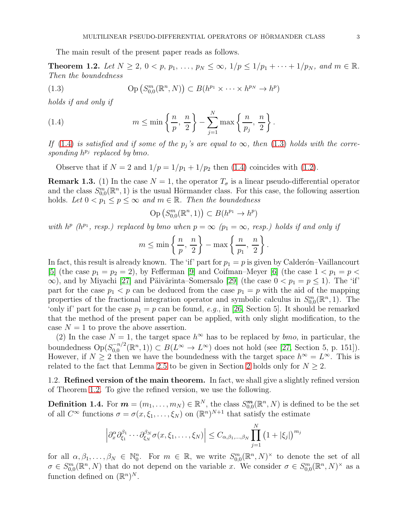The main result of the present paper reads as follows.

<span id="page-2-2"></span>**Theorem 1.2.** Let  $N \ge 2$ ,  $0 < p$ ,  $p_1, \ldots, p_N \le \infty$ ,  $1/p \le 1/p_1 + \cdots + 1/p_N$ , and  $m \in \mathbb{R}$ . Then the boundedness

<span id="page-2-1"></span>(1.3) 
$$
\text{Op}(S_{0,0}^m(\mathbb{R}^n,N)) \subset B(h^{p_1} \times \cdots \times h^{p_N} \to h^p)
$$

holds if and only if

<span id="page-2-0"></span>(1.4) 
$$
m \leq \min\left\{\frac{n}{p},\frac{n}{2}\right\} - \sum_{j=1}^{N} \max\left\{\frac{n}{p_j},\frac{n}{2}\right\}.
$$

If [\(1.4\)](#page-2-0) is satisfied and if some of the  $p_j$ 's are equal to  $\infty$ , then [\(1.3\)](#page-2-1) holds with the corresponding  $h^{p_j}$  replaced by bmo.

Observe that if  $N = 2$  and  $1/p = 1/p_1 + 1/p_2$  then [\(1.4\)](#page-2-0) coincides with [\(1.2\)](#page-1-0).

**Remark 1.3.** (1) In the case  $N = 1$ , the operator  $T_{\sigma}$  is a linear pseudo-differential operator and the class  $S_{0,0}^{m}(\mathbb{R}^n,1)$  is the usual Hörmander class. For this case, the following assertion holds. Let  $0 < p_1 \le p \le \infty$  and  $m \in \mathbb{R}$ . Then the boundedness

$$
\mathrm{Op}\left(S_{0,0}^m(\mathbb{R}^n,1)\right) \subset B(h^{p_1} \to h^p)
$$

with  $h^p$  ( $h^{p_1}$ , resp.) replaced by bmo when  $p = \infty$  ( $p_1 = \infty$ , resp.) holds if and only if

$$
m \le \min\left\{\frac{n}{p},\frac{n}{2}\right\} - \max\left\{\frac{n}{p_1},\frac{n}{2}\right\}.
$$

In fact, this result is already known. The 'if' part for  $p_1 = p$  is given by Calderon–Vaillancourt [\[5\]](#page-19-4) (the case  $p_1 = p_2 = 2$ ), by Fefferman [\[9\]](#page-19-5) and Coifman–Meyer [\[6\]](#page-19-6) (the case  $1 < p_1 = p <$  $\infty$ ), and by Miyachi [\[27\]](#page-20-2) and Päivärinta–Somersalo [\[29\]](#page-20-3) (the case  $0 < p_1 = p \le 1$ ). The 'if' part for the case  $p_1 < p$  can be deduced from the case  $p_1 = p$  with the aid of the mapping properties of the fractional integration operator and symbolic calculus in  $S_{0,0}^m(\mathbb{R}^n,1)$ . The 'only if' part for the case  $p_1 = p$  can be found, e.g., in [\[26,](#page-20-4) Section 5]. It should be remarked that the method of the present paper can be applied, with only slight modification, to the case  $N = 1$  to prove the above assertion.

(2) In the case  $N = 1$ , the target space  $h^{\infty}$  has to be replaced by *bmo*, in particular, the boundedness  $Op(S_{0,0}^{-n/2})$  $\mathcal{L}_{0,0}^{-n/2}(\mathbb{R}^n,1)) \subset B(L^{\infty} \to L^{\infty})$  does not hold (see [\[27,](#page-20-2) Section 5, p. 151]). However, if  $N \geq 2$  then we have the boundedness with the target space  $h^{\infty} = L^{\infty}$ . This is related to the fact that Lemma [2.5](#page-7-0) to be given in Section [2](#page-4-0) holds only for  $N \geq 2$ .

1.2. Refined version of the main theorem. In fact, we shall give a slightly refined version of Theorem [1.2.](#page-2-2) To give the refined version, we use the following.

**Definition 1.4.** For  $m = (m_1, \ldots, m_N) \in \mathbb{R}^N$ , the class  $S^m_{0,0}(\mathbb{R}^n, N)$  is defined to be the set of all  $C^{\infty}$  functions  $\sigma = \sigma(x, \xi_1, \ldots, \xi_N)$  on  $(\mathbb{R}^n)^{N+1}$  that satisfy the estimate

$$
\left|\partial_x^{\alpha}\partial_{\xi_1}^{\beta_1}\cdots\partial_{\xi_N}^{\beta_N}\sigma(x,\xi_1,\ldots,\xi_N)\right|\leq C_{\alpha,\beta_1,\ldots,\beta_N}\prod_{j=1}^N\left(1+|\xi_j|\right)^{m_j}
$$

for all  $\alpha, \beta_1, \ldots, \beta_N \in \mathbb{N}_0^n$ . For  $m \in \mathbb{R}$ , we write  $S_{0,0}^m(\mathbb{R}^n, N)^\times$  to denote the set of all  $\sigma \in S^m_{0,0}(\mathbb{R}^n, N)$  that do not depend on the variable x. We consider  $\sigma \in S^m_{0,0}(\mathbb{R}^n, N)^\times$  as a function defined on  $(\mathbb{R}^n)^N$ .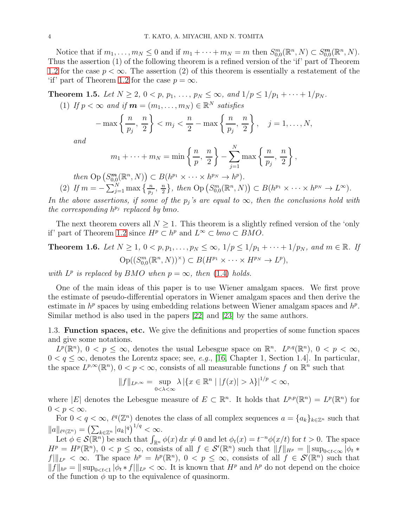Notice that if  $m_1, \ldots, m_N \leq 0$  and if  $m_1 + \cdots + m_N = m$  then  $S^m_{0,0}(\mathbb{R}^n, N) \subset S^m_{0,0}(\mathbb{R}^n, N)$ . Thus the assertion (1) of the following theorem is a refined version of the 'if' part of Theorem [1.2](#page-2-2) for the case  $p < \infty$ . The assertion (2) of this theorem is essentially a restatement of the 'if' part of Theorem [1.2](#page-2-2) for the case  $p = \infty$ .

<span id="page-3-1"></span>Theorem 1.5. Let  $N \ge 2$ ,  $0 < p, p_1, \ldots, p_N \le \infty$ , and  $1/p \le 1/p_1 + \cdots + 1/p_N$ .

(1) If  $p < \infty$  and if  $m = (m_1, \ldots, m_N) \in \mathbb{R}^N$  satisfies

$$
-\max\left\{\frac{n}{p_j},\frac{n}{2}\right\} < m_j < \frac{n}{2}-\max\left\{\frac{n}{p_j},\frac{n}{2}\right\}, \quad j=1,\ldots,N,
$$

and

$$
m_1 + \cdots + m_N = \min\left\{\frac{n}{p},\frac{n}{2}\right\} - \sum_{j=1}^N \max\left\{\frac{n}{p_j},\frac{n}{2}\right\},\,
$$

then  $\text{Op}(S_{0,0}^m(\mathbb{R}^n, N)) \subset B(h^{p_1} \times \cdots \times h^{p_N} \to h^p).$ (2) If  $m = -\sum_{j=1}^{N} \max \left\{ \frac{n}{p_j}, \frac{n}{2} \right\}$  $\frac{n}{2}$ , then  $\text{Op}(S_{0,0}^m(\mathbb{R}^n, N)) \subset B(h^{p_1} \times \cdots \times h^{p_N} \to L^{\infty}).$ 

In the above assertions, if some of the  $p_j$ 's are equal to  $\infty$ , then the conclusions hold with the corresponding  $h^{p_j}$  replaced by bmo.

The next theorem covers all  $N \geq 1$ . This theorem is a slightly refined version of the 'only if' part of Theorem [1.2](#page-2-2) since  $H^p \subset h^p$  and  $L^{\infty} \subset bmo \subset BMO$ .

<span id="page-3-2"></span>**Theorem 1.6.** Let 
$$
N \geq 1
$$
,  $0 < p, p_1, \ldots, p_N \leq \infty$ ,  $1/p \leq 1/p_1 + \cdots + 1/p_N$ , and  $m \in \mathbb{R}$ . If  $\text{Op}((S_{0,0}^m(\mathbb{R}^n, N))^{\times}) \subset B(H^{p_1} \times \cdots \times H^{p_N} \to L^p),$ 

with  $L^p$  is replaced by BMO when  $p = \infty$ , then [\(1.4\)](#page-2-0) holds.

One of the main ideas of this paper is to use Wiener amalgam spaces. We first prove the estimate of pseudo-differential operators in Wiener amalgam spaces and then derive the estimate in  $h^p$  spaces by using embedding relations between Wiener amalgam spaces and  $h^p$ . Similar method is also used in the papers [\[22\]](#page-19-7) and [\[23\]](#page-19-8) by the same authors.

<span id="page-3-0"></span>1.3. Function spaces, etc. We give the definitions and properties of some function spaces and give some notations.

 $L^p(\mathbb{R}^n)$ ,  $0 < p \leq \infty$ , denotes the usual Lebesgue space on  $\mathbb{R}^n$ .  $L^{p,q}(\mathbb{R}^n)$ ,  $0 < p < \infty$ ,  $0 < q \leq \infty$ , denotes the Lorentz space; see, e.g., [16, Chapter 1, Section 1.4]. In particular, the space  $L^{p,\infty}(\mathbb{R}^n)$ ,  $0 < p < \infty$ , consists of all measurable functions f on  $\mathbb{R}^n$  such that

$$
||f||_{L^{p,\infty}} = \sup_{0 < \lambda < \infty} \lambda | \{x \in \mathbb{R}^n | |f(x)| > \lambda \} |^{1/p} < \infty,
$$

where |E| denotes the Lebesgue measure of  $E \subset \mathbb{R}^n$ . It holds that  $L^{p,p}(\mathbb{R}^n) = L^p(\mathbb{R}^n)$  for  $0 < p < \infty$ .

For  $0 < q < \infty$ ,  $\ell^q(\mathbb{Z}^n)$  denotes the class of all complex sequences  $a = \{a_k\}_{k \in \mathbb{Z}^n}$  such that  $||a||_{\ell^q(\mathbb{Z}^n)} = (\sum_{k \in \mathbb{Z}^n} |a_k|^q)^{1/q} < \infty.$ 

Let  $\phi \in \mathcal{S}(\mathbb{R}^n)$  be such that  $\int_{\mathbb{R}^n} \phi(x) dx \neq 0$  and let  $\phi_t(x) = t^{-n} \phi(x/t)$  for  $t > 0$ . The space  $H^p = H^p(\mathbb{R}^n)$ ,  $0 < p \leq \infty$ , consists of all  $f \in \mathcal{S}'(\mathbb{R}^n)$  such that  $||f||_{H^p} = ||\sup_{0 \leq t \leq \infty} |\phi_t *$  $f\|_{L^p} < \infty$ . The space  $h^p = h^p(\mathbb{R}^n)$ ,  $0 < p \leq \infty$ , consists of all  $f \in \mathcal{S}'(\mathbb{R}^n)$  such that  $||f||_{h^p} = ||\sup_{0 \le t \le 1} |\phi_t * f||_{L^p} < \infty$ . It is known that  $H^p$  and  $h^p$  do not depend on the choice of the function  $\phi$  up to the equivalence of quasinorm.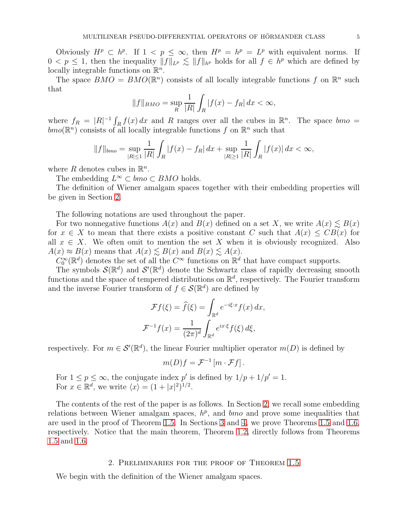Obviously  $H^p \subset h^p$ . If  $1 < p \leq \infty$ , then  $H^p = h^p = L^p$  with equivalent norms. If  $0 < p \leq 1$ , then the inequality  $||f||_{L^p} \lesssim ||f||_{h^p}$  holds for all  $f \in h^p$  which are defined by locally integrable functions on  $\mathbb{R}^n$ .

The space  $BMO = BMO(\mathbb{R}^n)$  consists of all locally integrable functions f on  $\mathbb{R}^n$  such that

$$
||f||_{BMO} = \sup_{R} \frac{1}{|R|} \int_{R} |f(x) - f_R| \, dx < \infty,
$$

where  $f_R = |R|^{-1} \int_R f(x) dx$  and R ranges over all the cubes in  $\mathbb{R}^n$ . The space  $bmo =$  $bmo(\mathbb{R}^n)$  consists of all locally integrable functions f on  $\mathbb{R}^n$  such that

$$
||f||_{bmo} = \sup_{|R| \le 1} \frac{1}{|R|} \int_R |f(x) - f_R| \, dx + \sup_{|R| \ge 1} \frac{1}{|R|} \int_R |f(x)| \, dx < \infty,
$$

where R denotes cubes in  $\mathbb{R}^n$ .

The embedding  $L^{\infty} \subset bmo \subset BMO$  holds.

The definition of Wiener amalgam spaces together with their embedding properties will be given in Section [2.](#page-4-0)

The following notations are used throughout the paper.

For two nonnegative functions  $A(x)$  and  $B(x)$  defined on a set X, we write  $A(x) \leq B(x)$ for  $x \in X$  to mean that there exists a positive constant C such that  $A(x) \leq CB(x)$  for all  $x \in X$ . We often omit to mention the set X when it is obviously recognized. Also  $A(x) \approx B(x)$  means that  $A(x) \lesssim B(x)$  and  $B(x) \lesssim A(x)$ .

 $C_0^{\infty}(\mathbb{R}^d)$  denotes the set of all the  $C^{\infty}$  functions on  $\mathbb{R}^d$  that have compact supports.

The symbols  $\mathcal{S}(\mathbb{R}^d)$  and  $\mathcal{S}'(\mathbb{R}^d)$  denote the Schwartz class of rapidly decreasing smooth functions and the space of tempered distributions on  $\mathbb{R}^d$ , respectively. The Fourier transform and the inverse Fourier transform of  $f \in \mathcal{S}(\mathbb{R}^d)$  are defined by

$$
\mathcal{F}f(\xi) = \hat{f}(\xi) = \int_{\mathbb{R}^d} e^{-i\xi \cdot x} f(x) dx,
$$

$$
\mathcal{F}^{-1}f(x) = \frac{1}{(2\pi)^d} \int_{\mathbb{R}^d} e^{ix \cdot \xi} f(\xi) d\xi,
$$

respectively. For  $m \in \mathcal{S}'(\mathbb{R}^d)$ , the linear Fourier multiplier operator  $m(D)$  is defined by

$$
m(D)f = \mathcal{F}^{-1}\left[m \cdot \mathcal{F}f\right].
$$

For  $1 \le p \le \infty$ , the conjugate index p' is defined by  $1/p + 1/p' = 1$ . For  $x \in \mathbb{R}^d$ , we write  $\langle x \rangle = (1 + |x|^2)^{1/2}$ .

The contents of the rest of the paper is as follows. In Section [2,](#page-4-0) we recall some embedding relations between Wiener amalgam spaces,  $h^p$ , and  $b$ mo and prove some inequalities that are used in the proof of Theorem [1.5.](#page-3-1) In Sections [3](#page-8-0) and [4,](#page-14-0) we prove Theorems [1.5](#page-3-1) and [1.6,](#page-3-2) respectively. Notice that the main theorem, Theorem [1.2,](#page-2-2) directly follows from Theorems [1.5](#page-3-1) and [1.6.](#page-3-2)

### 2. Preliminaries for the proof of Theorem [1.5](#page-3-1)

<span id="page-4-0"></span>We begin with the definition of the Wiener amalgam spaces.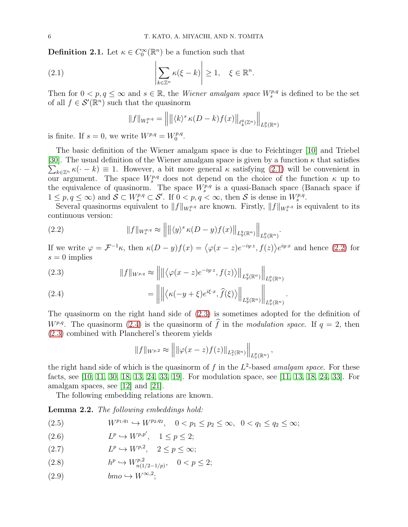**Definition 2.1.** Let  $\kappa \in C_0^{\infty}(\mathbb{R}^n)$  be a function such that

(2.1) 
$$
\left|\sum_{k\in\mathbb{Z}^n} \kappa(\xi - k)\right| \geq 1, \quad \xi \in \mathbb{R}^n.
$$

Then for  $0 < p, q \leq \infty$  and  $s \in \mathbb{R}$ , the *Wiener amalgam space*  $W_s^{p,q}$  is defined to be the set of all  $f \in \mathcal{S}'(\mathbb{R}^n)$  such that the quasinorm

<span id="page-5-0"></span>
$$
||f||_{W_s^{p,q}} = \left\| \left\| \langle k \rangle^s \kappa(D-k) f(x) \right\|_{\ell_k^q(\mathbb{Z}^n)} \right\|_{L_x^p(\mathbb{R}^n)}
$$

is finite. If  $s = 0$ , we write  $W^{p,q} = W_0^{p,q}$  $\stackrel{p,q}{0}.$ 

The basic definition of the Wiener amalgam space is due to Feichtinger [\[10\]](#page-19-9) and Triebel [\[30\]](#page-20-5). The usual definition of the Wiener amalgam space is given by a function  $\kappa$  that satisfies  $\sum_{k\in\mathbb{Z}^n} \kappa(\cdot - k) \equiv 1$ . However, a bit more general  $\kappa$  satisfying [\(2.1\)](#page-5-0) will be convenient in our argument. The space  $W_s^{p,q}$  does not depend on the choice of the function  $\kappa$  up to the equivalence of quasinorm. The space  $W_s^{p,q}$  is a quasi-Banach space (Banach space if  $1 \leq p, q \leq \infty$ ) and  $S \subset W_s^{p,q} \subset S'$ . If  $0 < p, q < \infty$ , then S is dense in  $W_s^{p,q}$ .

Several quasinorms equivalent to  $||f||_{W_s^{p,q}}$  are known. Firstly,  $||f||_{W_s^{p,q}}$  is equivalent to its continuous version:

.

<span id="page-5-1"></span>(2.2) 
$$
||f||_{W_s^{p,q}} \approx ||| \langle y \rangle^s \kappa(D-y) f(x)||_{L_y^q(\mathbb{R}^n)} ||_{L_x^p(\mathbb{R}^n)}
$$

If we write  $\varphi = \mathcal{F}^{-1}\kappa$ , then  $\kappa(D-y)f(x) = \langle \varphi(x-z)e^{-iy\cdot z}, f(z)\rangle e^{iy\cdot x}$  and hence [\(2.2\)](#page-5-1) for  $s = 0$  implies

<span id="page-5-2"></span>(2.3) 
$$
||f||_{W^{p,q}} \approx ||\| \langle \varphi(x-z)e^{-iy\cdot z}, f(z) \rangle ||_{L_y^q(\mathbb{R}^n)} ||_{L_x^p(\mathbb{R}^n)}
$$

<span id="page-5-3"></span>(2.4) 
$$
= \left\| \left\| \left\langle \kappa(-y+\xi)e^{i\xi \cdot x}, \widehat{f}(\xi) \right\rangle \right\|_{L_y^q(\mathbb{R}^n)} \right\|_{L_x^p(\mathbb{R}^n)}.
$$

The quasinorm on the right hand side of [\(2.3\)](#page-5-2) is sometimes adopted for the definition of W<sup>p,q</sup>. The quasinorm [\(2.4\)](#page-5-3) is the quasinorm of  $\hat{f}$  in the modulation space. If  $q = 2$ , then [\(2.3\)](#page-5-2) combined with Plancherel's theorem yields

$$
||f||_{W^{p,2}} \approx ||||\varphi(x-z)f(z)||_{L_z^2(\mathbb{R}^n)}||_{L_x^p(\mathbb{R}^n)},
$$

the right hand side of which is the quasinorm of f in the  $L^2$ -based amalgam space. For these facts, see [\[10,](#page-19-9) [11,](#page-19-10) [30,](#page-20-5) [18,](#page-19-11) [13,](#page-19-12) [24,](#page-19-13) [33,](#page-20-6) [19\]](#page-19-14). For modulation space, see [\[11,](#page-19-10) [13,](#page-19-12) [18,](#page-19-11) [24,](#page-19-13) [33\]](#page-20-6). For amalgam spaces, see [12] and [21].

The following embedding relations are known.

<span id="page-5-9"></span>Lemma 2.2. The following embeddings hold:

<span id="page-5-7"></span>(2.5) 
$$
W^{p_1,q_1} \hookrightarrow W^{p_2,q_2}, \quad 0 < p_1 \le p_2 \le \infty, \quad 0 < q_1 \le q_2 \le \infty;
$$

<span id="page-5-4"></span>(2.6)  $L^p \hookrightarrow W^{p,p'}, \quad 1 \le p \le 2;$ 

<span id="page-5-5"></span>
$$
(2.7) \tLp \hookrightarrow W^{p,2}, \t2 \le p \le \infty;
$$

<span id="page-5-6"></span>(2.8) 
$$
h^p \hookrightarrow W_{n(1/2-1/p)}^{p,2}, \quad 0 < p \le 2;
$$

<span id="page-5-8"></span>
$$
(2.9) \t\tbm{b}m\bm{o} \hookrightarrow W^{\infty,2};
$$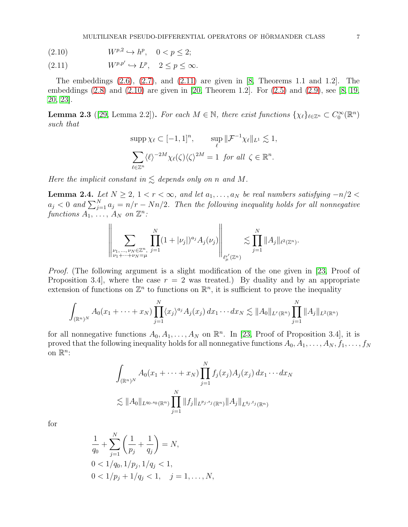<span id="page-6-1"></span>
$$
(2.10) \t\t W^{p,2} \hookrightarrow h^p, \quad 0 < p \le 2;
$$

<span id="page-6-0"></span>(2.11)  $W^{p,p'} \hookrightarrow L^p, \quad 2 \le p \le \infty.$ 

The embeddings  $(2.6)$ ,  $(2.7)$ , and  $(2.11)$  are given in [\[8,](#page-19-15) Theorems 1.1 and 1.2]. The embeddings [\(2.8\)](#page-5-6) and [\(2.10\)](#page-6-1) are given in [\[20,](#page-19-16) Theorem 1.2]. For [\(2.5\)](#page-5-7) and [\(2.9\)](#page-5-8), see [\[8,](#page-19-15) [19,](#page-19-14) [20,](#page-19-16) [23\]](#page-19-8).

<span id="page-6-2"></span>**Lemma 2.3** ([\[29,](#page-20-3) Lemma 2.2]). For each  $M \in \mathbb{N}$ , there exist functions  $\{\chi_{\ell}\}_{{\ell} \in \mathbb{Z}^n} \subset C_0^{\infty}(\mathbb{R}^n)$ such that

$$
\sup p \chi_{\ell} \subset [-1, 1]^n, \qquad \sup_{\ell} \|\mathcal{F}^{-1}\chi_{\ell}\|_{L^1} \lesssim 1,
$$

$$
\sum_{\ell \in \mathbb{Z}^n} \langle \ell \rangle^{-2M} \chi_{\ell}(\zeta) \langle \zeta \rangle^{2M} = 1 \text{ for all } \zeta \in \mathbb{R}^n.
$$

Here the implicit constant in  $\leq$  depends only on n and M.

<span id="page-6-3"></span>Lemma 2.4. Let  $N \geq 2$ ,  $1 < r < \infty$ , and let  $a_1, \ldots, a_N$  be real numbers satisfying  $-n/2 <$  $a_j < 0$  and  $\sum_{j=1}^{N} a_j = n/r - Nn/2$ . Then the following inequality holds for all nonnegative functions  $A_1, \ldots, A_N$  on  $\mathbb{Z}^n$ :

$$
\left\| \sum_{\substack{\nu_1,\ldots,\nu_N \in \mathbb{Z}^n, \\ \nu_1 + \cdots + \nu_N = \mu}} \prod_{j=1}^N (1 + |\nu_j|)^{a_j} A_j(\nu_j) \right\|_{\ell^r_\mu(\mathbb{Z}^n)} \lesssim \prod_{j=1}^N \|A_j\|_{\ell^2(\mathbb{Z}^n)}.
$$

Proof. (The following argument is a slight modification of the one given in [\[23,](#page-19-8) Proof of Proposition 3.4, where the case  $r = 2$  was treated.) By duality and by an appropriate extension of functions on  $\mathbb{Z}^n$  to functions on  $\mathbb{R}^n$ , it is sufficient to prove the inequality

$$
\int_{(\mathbb{R}^n)^N} A_0(x_1 + \dots + x_N) \prod_{j=1}^N \langle x_j \rangle^{a_j} A_j(x_j) dx_1 \cdots dx_N \lesssim ||A_0||_{L^r(\mathbb{R}^n)} \prod_{j=1}^N ||A_j||_{L^2(\mathbb{R}^n)}
$$

for all nonnegative functions  $A_0, A_1, \ldots, A_N$  on  $\mathbb{R}^n$ . In [\[23,](#page-19-8) Proof of Proposition 3.4], it is proved that the following inequality holds for all nonnegative functions  $A_0, A_1, \ldots, A_N, f_1, \ldots, f_N$ on  $\mathbb{R}^n$ :

$$
\int_{(\mathbb{R}^n)^N} A_0(x_1 + \dots + x_N) \prod_{j=1}^N f_j(x_j) A_j(x_j) dx_1 \dots dx_N
$$
  

$$
\lesssim ||A_0||_{L^{q_0,s_0}(\mathbb{R}^n)} \prod_{j=1}^N ||f_j||_{L^{p_j,s_j}(\mathbb{R}^n)} ||A_j||_{L^{q_j,t_j}(\mathbb{R}^n)}
$$

for

$$
\frac{1}{q_0} + \sum_{j=1}^{N} \left( \frac{1}{p_j} + \frac{1}{q_j} \right) = N,
$$
  
0 < 1/q\_0, 1/p\_j, 1/q\_j < 1,  
0 < 1/p\_j + 1/q\_j < 1, j = 1, ..., N,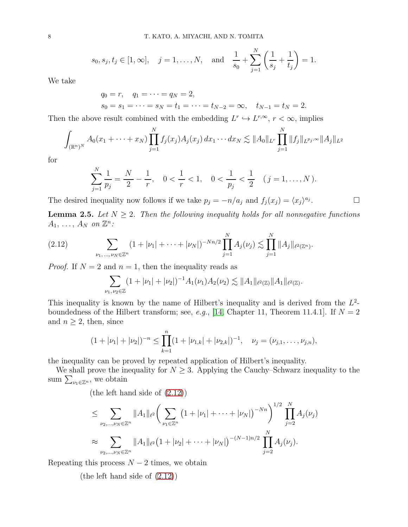$$
s_0, s_j, t_j \in [1, \infty], \quad j = 1, ..., N,
$$
 and  $\frac{1}{s_0} + \sum_{j=1}^N \left(\frac{1}{s_j} + \frac{1}{t_j}\right) = 1.$ 

We take

$$
q_0 = r
$$
,  $q_1 = \cdots = q_N = 2$ ,  
\n $s_0 = s_1 = \cdots = s_N = t_1 = \cdots = t_{N-2} = \infty$ ,  $t_{N-1} = t_N = 2$ .

Then the above result combined with the embedding  $L^r \hookrightarrow L^{r,\infty}$ ,  $r < \infty$ , implies

$$
\int_{(\mathbb{R}^n)^N} A_0(x_1 + \dots + x_N) \prod_{j=1}^N f_j(x_j) A_j(x_j) dx_1 \dots dx_N \lesssim ||A_0||_{L^r} \prod_{j=1}^N ||f_j||_{L^{p_j,\infty}} ||A_j||_{L^2}
$$

for

$$
\sum_{j=1}^{N} \frac{1}{p_j} = \frac{N}{2} - \frac{1}{r}, \quad 0 < \frac{1}{r} < 1, \quad 0 < \frac{1}{p_j} < \frac{1}{2} \quad (j = 1, \dots, N).
$$

 $\Box$ 

The desired inequality now follows if we take  $p_j = -n/a_j$  and  $f_j(x_j) = \langle x_j \rangle^{a_j}$ 

<span id="page-7-0"></span>**Lemma 2.5.** Let  $N \geq 2$ . Then the following inequality holds for all nonnegative functions  $A_1, \ldots, A_N$  on  $\mathbb{Z}^n$ :

$$
(2.12) \qquad \qquad \sum_{\nu_1,\ldots,\nu_N\in\mathbb{Z}^n} (1+|\nu_1|+\cdots+|\nu_N|)^{-Nn/2} \prod_{j=1}^N A_j(\nu_j) \lesssim \prod_{j=1}^N \|A_j\|_{\ell^2(\mathbb{Z}^n)}.
$$

*Proof.* If  $N = 2$  and  $n = 1$ , then the inequality reads as

<span id="page-7-1"></span>
$$
\sum_{\nu_1,\nu_2\in\mathbb{Z}}(1+|\nu_1|+|\nu_2|)^{-1}A_1(\nu_1)A_2(\nu_2)\lesssim \|A_1\|_{\ell^2(\mathbb{Z})}\|A_1\|_{\ell^2(\mathbb{Z})}.
$$

This inequality is known by the name of Hilbert's inequality and is derived from the  $L^2$ -boundedness of the Hilbert transform; see, e.g., [\[14,](#page-19-17) Chapter 11, Theorem 11.4.1]. If  $N = 2$ and  $n \geq 2$ , then, since

$$
(1+|\nu_1|+|\nu_2|)^{-n} \leq \prod_{k=1}^n (1+|\nu_{1,k}|+|\nu_{2,k}|)^{-1}, \quad \nu_j = (\nu_{j,1}, \ldots, \nu_{j,n}),
$$

the inequality can be proved by repeated application of Hilbert's inequality.

We shall prove the inequality for  $N \geq 3$ . Applying the Cauchy–Schwarz inequality to the sum  $\sum_{\nu_1 \in \mathbb{Z}^n}$ , we obtain

(the left hand side of [\(2.12\)](#page-7-1))

$$
\leq \sum_{\nu_2,\dots,\nu_N \in \mathbb{Z}^n} \|A_1\|_{\ell^2} \bigg( \sum_{\nu_1 \in \mathbb{Z}^n} \big(1 + |\nu_1| + \dots + |\nu_N|\big)^{-Nn}\bigg)^{1/2} \prod_{j=2}^N A_j(\nu_j)
$$
  

$$
\approx \sum_{\nu_2,\dots,\nu_N \in \mathbb{Z}^n} \|A_1\|_{\ell^2} \big(1 + |\nu_2| + \dots + |\nu_N|\big)^{-(N-1)n/2} \prod_{j=2}^N A_j(\nu_j).
$$

Repeating this process  $N-2$  times, we obtain

(the left hand side of [\(2.12\)](#page-7-1))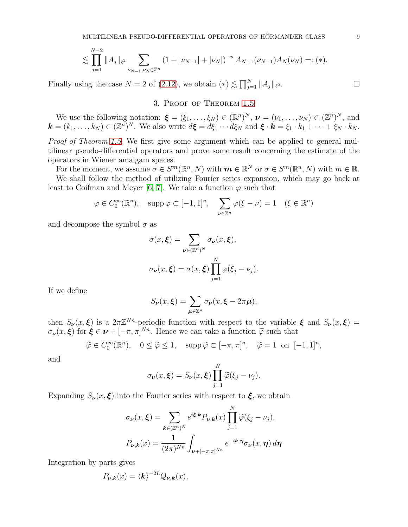$$
\lesssim \prod_{j=1}^{N-2} \|A_j\|_{\ell^2} \sum_{\nu_{N-1}, \nu_N \in \mathbb{Z}^n} \left(1 + |\nu_{N-1}| + |\nu_N|\right)^{-n} A_{N-1}(\nu_{N-1}) A_N(\nu_N) =: (*).
$$

<span id="page-8-0"></span>Finally using the case  $N = 2$  of [\(2.12\)](#page-7-1), we obtain  $(*) \lesssim \prod_{j=1}^{N} ||A_j||_{\ell}$  $\overline{\phantom{a}}$  .

## 3. Proof of Theorem [1.5](#page-3-1)

We use the following notation:  $\boldsymbol{\xi} = (\xi_1, \dots, \xi_N) \in (\mathbb{R}^n)^N$ ,  $\boldsymbol{\nu} = (\nu_1, \dots, \nu_N) \in (\mathbb{Z}^n)^N$ , and  $\mathbf{k} = (k_1, \ldots, k_N) \in (\mathbb{Z}^n)^N$ . We also write  $d\mathbf{\xi} = d\xi_1 \cdots d\xi_N$  and  $\mathbf{\xi} \cdot \mathbf{k} = \xi_1 \cdot k_1 + \cdots + \xi_N \cdot k_N$ .

Proof of Theorem [1.5.](#page-3-1) We first give some argument which can be applied to general multilinear pseudo-differential operators and prove some result concerning the estimate of the operators in Wiener amalgam spaces.

For the moment, we assume  $\sigma \in S^m(\mathbb{R}^n, N)$  with  $m \in \mathbb{R}^N$  or  $\sigma \in S^m(\mathbb{R}^n, N)$  with  $m \in \mathbb{R}$ . We shall follow the method of utilizing Fourier series expansion, which may go back at least to Coifman and Meyer [\[6,](#page-19-6) [7\]](#page-19-18). We take a function  $\varphi$  such that

$$
\varphi \in C_0^{\infty}(\mathbb{R}^n)
$$
,  $\operatorname{supp} \varphi \subset [-1,1]^n$ ,  $\sum_{\nu \in \mathbb{Z}^n} \varphi(\xi - \nu) = 1 \quad (\xi \in \mathbb{R}^n)$ 

and decompose the symbol  $\sigma$  as

$$
\sigma(x,\xi) = \sum_{\nu \in (\mathbb{Z}^n)^N} \sigma_{\nu}(x,\xi),
$$

$$
\sigma_{\nu}(x,\xi) = \sigma(x,\xi) \prod_{j=1}^N \varphi(\xi_j - \nu_j).
$$

If we define

$$
S_{\nu}(x,\xi) = \sum_{\mu \in \mathbb{Z}^n} \sigma_{\nu}(x,\xi - 2\pi\mu),
$$

then  $S_{\nu}(x,\xi)$  is a  $2\pi\mathbb{Z}^{N_n}$ -periodic function with respect to the variable  $\xi$  and  $S_{\nu}(x,\xi)$  =  $\sigma_{\nu}(x,\xi)$  for  $\xi \in \nu + [-\pi,\pi]^{N_n}$ . Hence we can take a function  $\tilde{\varphi}$  such that

$$
\widetilde{\varphi} \in C_0^{\infty}(\mathbb{R}^n), \quad 0 \le \widetilde{\varphi} \le 1, \quad \text{supp }\widetilde{\varphi} \subset [-\pi, \pi]^n, \quad \widetilde{\varphi} = 1 \text{ on } [-1, 1]^n,
$$

and

$$
\sigma_{\nu}(x,\boldsymbol{\xi})=S_{\nu}(x,\boldsymbol{\xi})\prod_{j=1}^N\widetilde{\varphi}(\xi_j-\nu_j).
$$

 $\overline{N}$ 

Expanding  $S_{\nu}(x,\xi)$  into the Fourier series with respect to  $\xi$ , we obtain

$$
\sigma_{\nu}(x,\xi) = \sum_{\mathbf{k}\in(\mathbb{Z}^n)^N} e^{i\xi \cdot \mathbf{k}} P_{\nu,\mathbf{k}}(x) \prod_{j=1}^N \widetilde{\varphi}(\xi_j - \nu_j),
$$

$$
P_{\nu,\mathbf{k}}(x) = \frac{1}{(2\pi)^{Nn}} \int_{\nu+[-\pi,\pi]^{Nn}} e^{-i\mathbf{k}\cdot \boldsymbol{\eta}} \sigma_{\nu}(x,\boldsymbol{\eta}) d\boldsymbol{\eta}
$$

Integration by parts gives

$$
P_{\nu,k}(x) = \langle k \rangle^{-2L} Q_{\nu,k}(x),
$$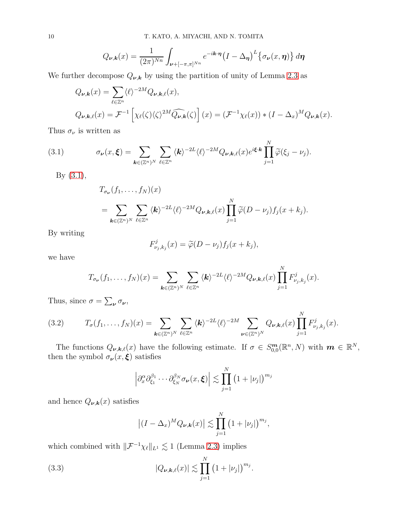$$
Q_{\nu,k}(x) = \frac{1}{(2\pi)^{Nn}} \int_{\nu+[-\pi,\pi]^{Nn}} e^{-i\mathbf{k}\cdot\mathbf{\eta}} (I - \Delta_{\eta})^L \{\sigma_{\nu}(x,\eta)\} d\eta
$$

We further decompose  $Q_{\nu,k}$  by using the partition of unity of Lemma [2.3](#page-6-2) as

$$
Q_{\nu,k}(x) = \sum_{\ell \in \mathbb{Z}^n} \langle \ell \rangle^{-2M} Q_{\nu,k,\ell}(x),
$$
  

$$
Q_{\nu,k,\ell}(x) = \mathcal{F}^{-1} \left[ \chi_{\ell}(\zeta) \langle \zeta \rangle^{2M} \widehat{Q_{\nu,k}}(\zeta) \right] (x) = (\mathcal{F}^{-1} \chi_{\ell}(x)) * (I - \Delta_x)^M Q_{\nu,k}(x).
$$

Thus  $\sigma_\nu$  is written as

(3.1) 
$$
\sigma_{\nu}(x,\xi) = \sum_{\mathbf{k}\in(\mathbb{Z}^n)^N} \sum_{\ell\in\mathbb{Z}^n} \langle \mathbf{k} \rangle^{-2L} \langle \ell \rangle^{-2M} Q_{\nu,\mathbf{k},\ell}(x) e^{i\xi \cdot \mathbf{k}} \prod_{j=1}^N \widetilde{\varphi}(\xi_j - \nu_j).
$$

By [\(3.1\)](#page-9-0),

<span id="page-9-0"></span>
$$
T_{\sigma_{\nu}}(f_1,\ldots,f_N)(x)
$$
  
= 
$$
\sum_{\mathbf{k}\in(\mathbb{Z}^n)^N} \sum_{\ell\in\mathbb{Z}^n} \langle \mathbf{k}\rangle^{-2L} \langle \ell \rangle^{-2M} Q_{\nu,\mathbf{k},\ell}(x) \prod_{j=1}^N \widetilde{\varphi}(D-\nu_j) f_j(x+k_j).
$$

By writing

$$
F_{\nu_j,k_j}^j(x) = \widetilde{\varphi}(D - \nu_j) f_j(x + k_j),
$$

we have

$$
T_{\sigma_{\nu}}(f_1,\ldots,f_N)(x)=\sum_{\boldsymbol{k}\in(\mathbb{Z}^n)^N}\sum_{\ell\in\mathbb{Z}^n}\langle\boldsymbol{k}\rangle^{-2L}\langle\ell\rangle^{-2M}Q_{\nu,\boldsymbol{k},\ell}(x)\prod_{j=1}^NF_{\nu_j,k_j}^j(x).
$$

Thus, since  $\sigma = \sum_{\nu} \sigma_{\nu}$ ,

<span id="page-9-2"></span>(3.2) 
$$
T_{\sigma}(f_1,\ldots,f_N)(x)=\sum_{\mathbf{k}\in(\mathbb{Z}^n)^N}\sum_{\ell\in\mathbb{Z}^n}\langle\mathbf{k}\rangle^{-2L}\langle\ell\rangle^{-2M}\sum_{\mathbf{\nu}\in(\mathbb{Z}^n)^N}Q_{\mathbf{\nu},\mathbf{k},\ell}(x)\prod_{j=1}^NF_{\nu_j,k_j}^j(x).
$$

The functions  $Q_{\boldsymbol{\nu},\boldsymbol{k},\ell}(x)$  have the following estimate. If  $\sigma \in S^{\boldsymbol{m}}_{0,0}(\mathbb{R}^n,N)$  with  $\boldsymbol{m} \in \mathbb{R}^N$ , then the symbol  $\sigma_{\nu}(x,\xi)$  satisfies

$$
\left|\partial_x^{\alpha}\partial_{\xi_1}^{\beta_1}\cdots\partial_{\xi_N}^{\beta_N}\sigma_{\nu}(x,\boldsymbol{\xi})\right|\lesssim \prod_{j=1}^N\left(1+|\nu_j|\right)^{m_j}
$$

and hence  $Q_{\nu,k}(x)$  satisfies

<span id="page-9-1"></span>
$$
\left| (I - \Delta_x)^M Q_{\nu, k}(x) \right| \lesssim \prod_{j=1}^N \left( 1 + |\nu_j| \right)^{m_j},
$$

which combined with  $\|\mathcal{F}^{-1}\chi_\ell\|_{L^1}\lesssim 1$  (Lemma [2.3\)](#page-6-2) implies

(3.3) 
$$
|Q_{\nu,\mathbf{k},\ell}(x)| \lesssim \prod_{j=1}^N (1+|\nu_j|)^{m_j}.
$$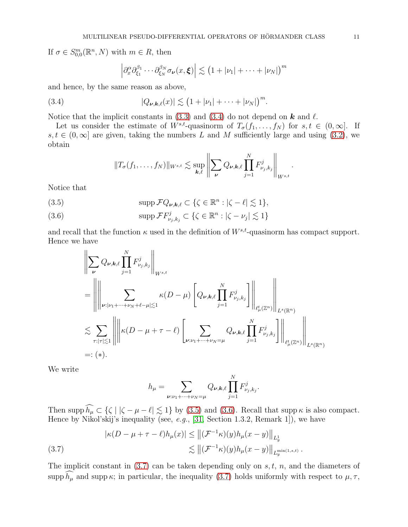If  $\sigma \in S^m_{0,0}(\mathbb{R}^n, N)$  with  $m \in R$ , then

<span id="page-10-0"></span>
$$
\left|\partial_x^{\alpha}\partial_{\xi_1}^{\beta_1}\cdots\partial_{\xi_N}^{\beta_N}\sigma_{\nu}(x,\boldsymbol{\xi})\right|\lesssim \left(1+|\nu_1|+\cdots+|\nu_N|\right)^m
$$

and hence, by the same reason as above,

(3.4) 
$$
|Q_{\nu,\mathbf{k},\ell}(x)| \lesssim (1+|\nu_1|+\cdots+|\nu_N|)^m.
$$

Notice that the implicit constants in [\(3.3\)](#page-9-1) and [\(3.4\)](#page-10-0) do not depend on  $\boldsymbol{k}$  and  $\ell$ .

Let us consider the estimate of  $W^{s,t}$ -quasinorm of  $T_{\sigma}(f_1,\ldots,f_N)$  for  $s,t \in (0,\infty]$ . If  $s, t \in (0, \infty]$  are given, taking the numbers L and M sufficiently large and using [\(3.2\)](#page-9-2), we obtain

$$
||T_{\sigma}(f_1,\ldots,f_N)||_{W^{s,t}} \lesssim \sup_{\mathbf{k},\ell} \left\|\sum_{\mathbf{\nu}} Q_{\mathbf{\nu},\mathbf{k},\ell} \prod_{j=1}^N F_{\nu_j,k_j}^j\right\|_{W^{s,t}}.
$$

Notice that

<span id="page-10-1"></span>(3.5) 
$$
\mathrm{supp}\,\mathcal{F}Q_{\nu,\mathbf{k},\ell}\subset\{\zeta\in\mathbb{R}^n:\left|\zeta-\ell\right|\lesssim 1\},\
$$

<span id="page-10-2"></span>(3.6) 
$$
\mathrm{supp}\,\mathcal{F}F_{\nu_j,k_j}^j\subset\{\zeta\in\mathbb{R}^n:\left|\zeta-\nu_j\right|\lesssim 1\}
$$

and recall that the function  $\kappa$  used in the definition of  $W^{s,t}$ -quasinorm has compact support. Hence we have

$$
\left\| \sum_{\nu} Q_{\nu,k,\ell} \prod_{j=1}^{N} F_{\nu_j,k_j}^j \right\|_{W^{s,t}} \leq \left\| \left\| \sum_{\nu: |\nu_1 + \dots + \nu_N + \ell - \mu| \lesssim 1} \kappa(D - \mu) \left[ Q_{\nu,k,\ell} \prod_{j=1}^N F_{\nu_j,k_j}^j \right] \right\|_{\ell^t_\mu(\mathbb{Z}^n)} \right\|_{L^s(\mathbb{R}^n)} \leq \sum_{\tau: |\tau| \lesssim 1} \left\| \left\| \kappa(D - \mu + \tau - \ell) \left[ \sum_{\nu: \nu_1 + \dots + \nu_N = \mu} Q_{\nu,k,\ell} \prod_{j=1}^N F_{\nu_j,k_j}^j \right] \right\|_{\ell^t_\mu(\mathbb{Z}^n)} \right\|_{L^s(\mathbb{R}^n)} \leq (*)
$$

We write

$$
h_{\mu} = \sum_{\nu:\nu_1 + \dots + \nu_N = \mu} Q_{\nu,k,\ell} \prod_{j=1}^N F_{\nu_j,k_j}^j.
$$

Then supp  $h_{\mu} \subset {\{\zeta \mid |\zeta - \mu - \ell| \lesssim 1\}}$  by [\(3.5\)](#page-10-1) and [\(3.6\)](#page-10-2). Recall that supp  $\kappa$  is also compact. Hence by Nikol'skij's inequality (see, *e.g.*, [31, Section 1.3.2, Remark 1]), we have

<span id="page-10-3"></span>(3.7) 
$$
|\kappa(D - \mu + \tau - \ell)h_{\mu}(x)| \le ||(\mathcal{F}^{-1}\kappa)(y)h_{\mu}(x - y)||_{L_y^1} \n\lesssim ||(\mathcal{F}^{-1}\kappa)(y)h_{\mu}(x - y)||_{L_y^{\min(1, s, t)}}.
$$

The implicit constant in  $(3.7)$  can be taken depending only on s, t, n, and the diameters of supp  $\widehat{h_{\mu}}$  and supp  $\kappa$ ; in particular, the inequality [\(3.7\)](#page-10-3) holds uniformly with respect to  $\mu, \tau$ ,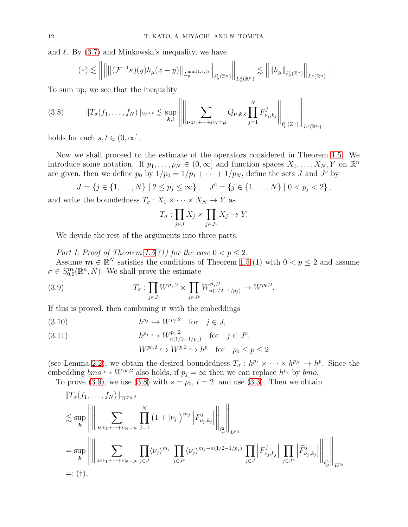and  $\ell$ . By  $(3.7)$  and Minkowski's inequality, we have

$$
(*) \lesssim \left\lVert \left\lVert \left\lVert (\mathcal{F}^{-1}\kappa)(y)h_{\mu}(x-y)\right\rVert_{L_y^{\min(1,s,t)}} \right\rVert_{\ell_\mu^t(\mathbb{Z}^n)} \right\rVert_{L_x^s(\mathbb{R}^n)} \lesssim \left\lVert \left\lVert h_\mu \right\rVert_{\ell_\mu^t(\mathbb{Z}^n)} \right\rVert_{L^s(\mathbb{R}^n)}.
$$

To sum up, we see that the inequality

<span id="page-11-1"></span>
$$
(3.8) \t\t ||T_{\sigma}(f_1,\ldots,f_N)||_{W^{s,t}} \lesssim \sup_{\bm{k},\ell} \left\| \left\| \sum_{\nu:\nu_1+\cdots+\nu_N=\mu} Q_{\nu,\bm{k},\ell} \prod_{j=1}^N F_{\nu_j,k_j}^j \right\|_{\ell^t_{\mu}(\mathbb{Z}^n)} \right\|_{L^s(\mathbb{R}^n)}
$$

holds for each  $s, t \in (0, \infty]$ .

Now we shall proceed to the estimate of the operators considered in Theorem [1.5.](#page-3-1) We introduce some notation. If  $p_1, \ldots, p_N \in (0, \infty]$  and function spaces  $X_1, \ldots, X_N, Y$  on  $\mathbb{R}^n$ are given, then we define  $p_0$  by  $1/p_0 = 1/p_1 + \cdots + 1/p_N$ , define the sets J and J<sup>c</sup> by

$$
J = \{j \in \{1, ..., N\} \mid 2 \le p_j \le \infty\}, \quad J^c = \{j \in \{1, ..., N\} \mid 0 < p_j < 2\},\
$$

and write the boundedness  $T_{\sigma}: X_1 \times \cdots \times X_N \to Y$  as

<span id="page-11-0"></span>
$$
T_{\sigma} : \prod_{j \in J} X_j \times \prod_{j \in J^c} X_j \to Y.
$$

We devide the rest of the arguments into three parts.

Part I: Proof of Theorem [1.5](#page-3-1) (1) for the case  $0 < p \leq 2$ . Assume  $\mathbf{m} \in \mathbb{R}^N$  satisfies the conditions of Theorem [1.5](#page-3-1) (1) with  $0 < p \leq 2$  and assume  $\sigma \in S^{\mathbf{m}}_{0,0}(\mathbb{R}^n, N)$ . We shall prove the estimate

(3.9) 
$$
T_{\sigma}: \prod_{j\in J} W^{p_j,2} \times \prod_{j\in J^c} W^{p_j,2}_{n(1/2-1/p_j)} \to W^{p_0,2}.
$$

If this is proved, then combining it with the embeddings

<span id="page-11-2"></span>
$$
(3.10) \t\t h^{p_j} \hookrightarrow W^{p_j,2} \tfor j \in J,
$$

<span id="page-11-3"></span>(3.11) 
$$
h^{p_j} \hookrightarrow W_{n(1/2-1/p_j)}^{p_j,2} \text{ for } j \in J^c,
$$

$$
W^{p_0,2} \hookrightarrow W^{p,2} \hookrightarrow h^p \text{ for } p_0 \le p \le 2
$$

(see Lemma [2.2\)](#page-5-9), we obtain the desired boundedness  $T_{\sigma}: h^{p_1} \times \cdots \times h^{p_N} \to h^p$ . Since the embedding  $bmo \hookrightarrow W^{\infty,2}$  also holds, if  $p_j = \infty$  then we can replace  $h^{p_j}$  by  $bmo$ .

To prove [\(3.9\)](#page-11-0), we use [\(3.8\)](#page-11-1) with  $s = p_0$ ,  $t = 2$ , and use [\(3.3\)](#page-9-1). Then we obtain

$$
\|T_{\sigma}(f_1, ..., f_N)\|_{W^{p_0,2}}\n\n\lesssim \sup_{k} \left\| \left\| \sum_{\nu:\nu_1+\dots+\nu_N=\mu} \prod_{j=1}^N (1+|\nu_j|)^{m_j} \left| F_{\nu_j,k_j}^j \right| \right\|_{\ell^2_{\mu}} \right\|_{L^{p_0}}\n\n= \sup_{k} \left\| \left\| \sum_{\nu:\nu_1+\dots+\nu_N=\mu} \prod_{j\in J} \langle \nu_j \rangle^{m_j} \prod_{j\in J^c} \langle \nu_j \rangle^{m_j - n(1/2-1/p_j)} \prod_{j\in J} \left| F_{\nu_j,k_j}^j \right| \prod_{j\in J^c} \left| \widetilde{F}_{\nu_j,k_j}^j \right| \right\|_{\ell^2_{\mu}} \right\|_{L^{p_0}}\n\n=:\n(†),
$$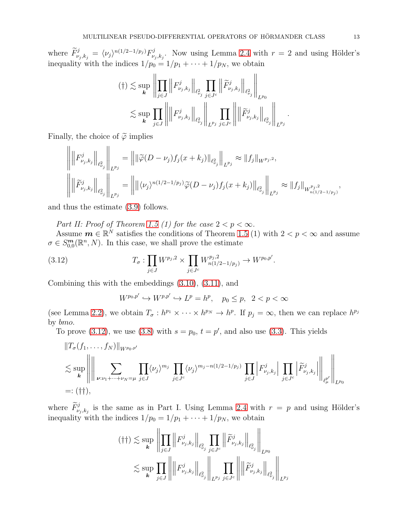where  $\widetilde{F}_{\nu_j,k_j}^j = \langle \nu_j \rangle^{n(1/2-1/p_j)} F_{\nu_j}^j$  $v_{\nu_j,k_j}$ . Now using Lemma [2.4](#page-6-3) with  $r=2$  and using Hölder's inequality with the indices  $1/p_0 = 1/p_1 + \cdots + 1/p_N$ , we obtain

$$
(†)\lesssim \sup_{\mathbf{k}} \left\| \prod_{j\in J} \left\| F_{\nu_j,k_j}^j \right\|_{\ell_{\nu_j}^2} \prod_{j\in J^c} \left\| \widetilde{F}_{\nu_j,k_j}^j \right\|_{\ell_{\nu_j}^2} \right\|_{L^{p_0}}\right\|_{L^{p_0}}\leq \sup_{\mathbf{k}} \prod_{j\in J} \left\| \left\| F_{\nu_j,k_j}^j \right\|_{\ell_{\nu_j}^2} \left\| \prod_{L^{p_j}} \widetilde{F}_{\nu_j,k_j}^j \right\|_{\ell_{\nu_j}^2} \right\|_{L^{p_j}}.
$$

Finally, the choice of  $\widetilde{\varphi}$  implies

 $\overline{11}$ 

$$
\left\| \left\| F_{\nu_j,k_j}^j \right\|_{\ell_{\nu_j}^2} \right\|_{L^{p_j}} = \left\| \left\| \widetilde{\varphi}(D - \nu_j) f_j(x + k_j) \right\|_{\ell_{\nu_j}^2} \right\|_{L^{p_j}} \approx \|f_j\|_{W^{p_j,2}},
$$
\n
$$
\left\| \left\| \widetilde{F}_{\nu_j,k_j}^j \right\|_{\ell_{\nu_j}^2} \right\|_{L^{p_j}} = \left\| \left\| \langle \nu_j \rangle^{n(1/2 - 1/p_j)} \widetilde{\varphi}(D - \nu_j) f_j(x + k_j) \right\|_{\ell_{\nu_j}^2} \right\|_{L^{p_j}} \approx \|f_j\|_{W^{p_j,2}_{n(1/2 - 1/p_j)}},
$$

and thus the estimate [\(3.9\)](#page-11-0) follows.

Part II: Proof of Theorem [1.5](#page-3-1) (1) for the case  $2 < p < \infty$ .

Assume  $\boldsymbol{m} \in \mathbb{R}^N$  satisfies the conditions of Theorem [1.5](#page-3-1) (1) with  $2 < p < \infty$  and assume  $\sigma \in S^{\mathbf{m}}_{0,0}(\mathbb{R}^n, N)$ . In this case, we shall prove the estimate

(3.12) 
$$
T_{\sigma}: \prod_{j\in J} W^{p_j,2} \times \prod_{j\in J^c} W^{p_j,2}_{n(1/2-1/p_j)} \to W^{p_0,p'}.
$$

Combining this with the embeddings [\(3.10\)](#page-11-2), [\(3.11\)](#page-11-3), and

<span id="page-12-0"></span>
$$
W^{p_0, p'} \hookrightarrow W^{p, p'} \hookrightarrow L^p = h^p, \quad p_0 \le p, \ \ 2 < p < \infty
$$

(see Lemma [2.2\)](#page-5-9), we obtain  $T_{\sigma}: h^{p_1} \times \cdots \times h^{p_N} \to h^{p}$ . If  $p_j = \infty$ , then we can replace  $h^{p_j}$ by bmo.

To prove [\(3.12\)](#page-12-0), we use [\(3.8\)](#page-11-1) with  $s = p_0$ ,  $t = p'$ , and also use [\(3.3\)](#page-9-1). This yields

$$
\|T_{\sigma}(f_1,\ldots,f_N)\|_{W^{p_0,p'}}\leq \sup_{k}\left\|\left\|\sum_{\nu:\nu_1+\cdots+\nu_N=\mu}\prod_{j\in J}\langle\nu_j\rangle^{m_j}\prod_{j\in J^c}\langle\nu_j\rangle^{m_j-n(1/2-1/p_j)}\prod_{j\in J}\left|F_{\nu_j,k_j}^j\right|\prod_{j\in J^c}\left|\widetilde{F}_{\nu_j,k_j}^j\right|\right\|_{\ell^p_\mu}\right\|_{L^{p_0}}
$$
\n=:\n
$$
(\dagger\dagger),
$$

where  $\widetilde{F}_{\nu_j,k_j}^j$  is the same as in Part I. Using Lemma [2.4](#page-6-3) with  $r = p$  and using Hölder's inequality with the indices  $1/p_0 = 1/p_1 + \cdots + 1/p_N$ , we obtain

$$
(\dagger \dagger) \lesssim \sup_{\mathbf{k}} \left\| \prod_{j \in J} \left\| F_{\nu_j, k_j}^j \right\|_{\ell_{\nu_j}^2} \prod_{j \in J^c} \left\| \widetilde{F}_{\nu_j, k_j}^j \right\|_{\ell_{\nu_j}^2} \right\|_{L^{p_0}} \leq \sup_{\mathbf{k}} \prod_{j \in J} \left\| \left\| F_{\nu_j, k_j}^j \right\|_{\ell_{\nu_j}^2} \prod_{j \in J^c} \left\| \left\| \widetilde{F}_{\nu_j, k_j}^j \right\|_{\ell_{\nu_j}^2} \right\|_{L^{p_j}}
$$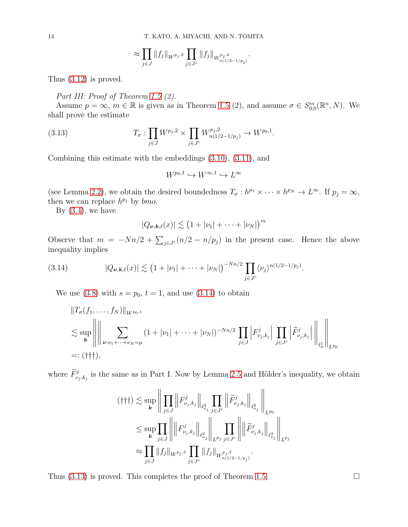$$
\approx \prod_{j\in J} ||f_j||_{W^{p_j,2}} \prod_{j\in J^c} ||f_j||_{W^{p_j,2}_{n(1/2-1/p_j)}}.
$$

Thus [\(3.12\)](#page-12-0) is proved.

### Part III: Proof of Theorem [1.5](#page-3-1) (2).

Assume  $p = \infty$ ,  $m \in \mathbb{R}$  is given as in Theorem [1.5](#page-3-1) (2), and assume  $\sigma \in S^m_{0,0}(\mathbb{R}^n, N)$ . We shall prove the estimate

(3.13) 
$$
T_{\sigma}: \prod_{j\in J} W^{p_j,2} \times \prod_{j\in J^c} W^{p_j,2}_{n(1/2-1/p_j)} \to W^{p_0,1}.
$$

Combining this estimate with the embeddings [\(3.10\)](#page-11-2), [\(3.11\)](#page-11-3), and

<span id="page-13-1"></span>
$$
W^{p_0,1}\hookrightarrow W^{\infty,1}\hookrightarrow L^\infty
$$

(see Lemma [2.2\)](#page-5-9), we obtain the desired boundedness  $T_{\sigma}: h^{p_1} \times \cdots \times h^{p_N} \to L^{\infty}$ . If  $p_j = \infty$ , then we can replace  $h^{p_j}$  by  $bmo$ .

By  $(3.4)$ , we have

$$
|Q_{\nu,\boldsymbol{k},\ell}(x)| \lesssim (1+|\nu_1|+\cdots+|\nu_N|)^m
$$

Observe that  $m = -Nn/2 + \sum_{j \in J^c} (n/2 - n/p_j)$  in the present case. Hence the above inequality implies

(3.14) 
$$
|Q_{\nu,\mathbf{k},\ell}(x)| \lesssim (1+|\nu_1|+\cdots+|\nu_N|)^{-Nn/2} \prod_{j\in J^c} \langle \nu_j \rangle^{n(1/2-1/p_j)}.
$$

<span id="page-13-0"></span>We use  $(3.8)$  with  $s = p_0$ ,  $t = 1$ , and use  $(3.14)$  to obtain

$$
||T_{\sigma}(f_1, ..., f_N)||_{W^{p_0,1}}\n\n\lesssim \sup_{k} \left\| \left\| \sum_{\nu:\nu_1+\dots+\nu_N=\mu} (1+|\nu_1|+\dots+|\nu_N|)^{-Nn/2} \prod_{j\in J} \left| F_{\nu_j,k_j}^j \right| \prod_{j\in J^c} \left| \widetilde{F}_{\nu_j,k_j}^j \right| \right\|_{\ell^1_{\mu}} \right\|_{L^{p_0}}\n\n=:\n(†\n+};
$$

where  $\widetilde{F}_{\nu_j,k_j}^j$  is the same as in Part I. Now by Lemma [2.5](#page-7-0) and Hölder's inequality, we obtain

$$
(\dagger \dagger \dagger) \lesssim \sup_{\mathbf{k}} \left\| \prod_{j \in J} \left\| F_{\nu_j, k_j}^j \right\|_{\ell_{\nu_j}^2} \prod_{j \in J^c} \left\| \widetilde{F}_{\nu_j, k_j}^j \right\|_{\ell_{\nu_j}^2} \right\|_{L^{p_0}} \n\leq \sup_{\mathbf{k}} \prod_{j \in J} \left\| \left\| F_{\nu_j, k_j}^j \right\|_{\ell_{\nu_j}^2} \left\| \prod_{L^{p_j} j \in J^c} \left\| \left\| \widetilde{F}_{\nu_j, k_j}^j \right\|_{\ell_{\nu_j}^2} \right\|_{L^{p_j}} \right\|_{L^{p_j}} \n\approx \prod_{j \in J} \| f_j \|_{W^{p_j,2}} \prod_{j \in J^c} \| f_j \|_{W^{p_j,2}_{n(1/2-1/p_j)}}.
$$

Thus [\(3.13\)](#page-13-1) is proved. This completes the proof of Theorem [1.5.](#page-3-1)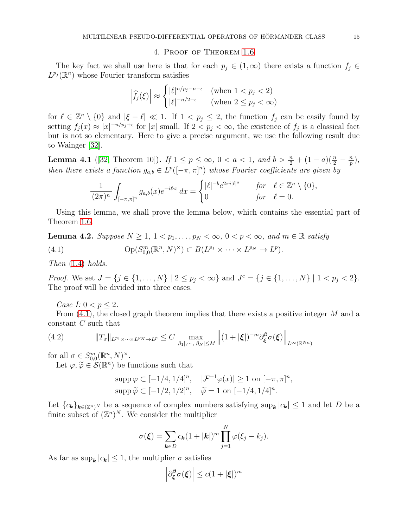### 4. Proof of Theorem [1.6](#page-3-2)

<span id="page-14-0"></span>The key fact we shall use here is that for each  $p_j \in (1,\infty)$  there exists a function  $f_j \in$  $L^{p_j}(\mathbb{R}^n)$  whose Fourier transform satisfies

$$
\left|\widehat{f}_j(\xi)\right| \approx \begin{cases} |\ell|^{n/p_j - n - \epsilon} & (\text{when } 1 < p_j < 2) \\ |\ell|^{-n/2 - \epsilon} & (\text{when } 2 \le p_j < \infty) \end{cases}
$$

for  $\ell \in \mathbb{Z}^n \setminus \{0\}$  and  $|\xi - \ell| \ll 1$ . If  $1 < p_j \le 2$ , the function  $f_j$  can be easily found by setting  $f_j(x) \approx |x|^{-n/p_j+\epsilon}$  for |x| small. If  $2 < p_j < \infty$ , the existence of  $f_j$  is a classical fact but is not so elementary. Here to give a precise argument, we use the following result due to Wainger [\[32\]](#page-20-7).

<span id="page-14-3"></span>**Lemma 4.1** ([\[32,](#page-20-7) Theorem 10]). If  $1 \le p \le \infty$ ,  $0 < a < 1$ , and  $b > \frac{n}{2} + (1 - a)(\frac{n}{2} - \frac{n}{p})$  $\frac{n}{p}\big),$ then there exists a function  $g_{a,b} \in L^p([-\pi,\pi]^n)$  whose Fourier coefficients are given by

<span id="page-14-1"></span>
$$
\frac{1}{(2\pi)^n} \int_{[-\pi,\pi]^n} g_{a,b}(x) e^{-i\ell \cdot x} dx = \begin{cases} |\ell|^{-b} e^{2\pi i |\ell|^a} & \text{for } \ell \in \mathbb{Z}^n \setminus \{0\}, \\ 0 & \text{for } \ell = 0. \end{cases}
$$

Using this lemma, we shall prove the lemma below, which contains the essential part of Theorem [1.6.](#page-3-2)

<span id="page-14-4"></span>**Lemma 4.2.** Suppose  $N \geq 1, 1 < p_1, \ldots, p_N < \infty, 0 < p < \infty$ , and  $m \in \mathbb{R}$  satisfy (4.1)  $\operatorname{Op}(S_{0,0}^m(\mathbb{R}^n, N)^\times) \subset B(L^{p_1} \times \cdots \times L^{p_N} \to L^p).$ 

Then  $(1.4)$  holds.

*Proof.* We set  $J = \{j \in \{1, ..., N\} \mid 2 \le p_j < \infty\}$  and  $J^c = \{j \in \{1, ..., N\} \mid 1 < p_j < 2\}$ . The proof will be divided into three cases.

Case I:  $0 < p < 2$ .

From  $(4.1)$ , the closed graph theorem implies that there exists a positive integer M and a constant C such that

(4.2) 
$$
||T_{\sigma}||_{L^{p_1} \times \cdots \times L^{p_N} \to L^p} \leq C \max_{|\beta_1|, \cdots, |\beta_N| \leq M} ||(1 + |\xi|)^{-m} \partial_{\xi}^{\beta} \sigma(\xi)||_{L^{\infty}(\mathbb{R}^{N_n})}
$$

for all  $\sigma \in S^m_{0,0}(\mathbb{R}^n, N)^\times$ .

Let  $\varphi, \widetilde{\varphi} \in \mathcal{S}(\mathbb{R}^n)$  be functions such that

<span id="page-14-2"></span>
$$
\text{supp}\,\varphi \subset [-1/4, 1/4]^n, \quad |\mathcal{F}^{-1}\varphi(x)| \ge 1 \text{ on } [-\pi, \pi]^n,
$$

$$
\text{supp}\,\widetilde{\varphi} \subset [-1/2, 1/2]^n, \quad \widetilde{\varphi} = 1 \text{ on } [-1/4, 1/4]^n.
$$

Let  ${c_k}_{k \in (\mathbb{Z}^n)^N}$  be a sequence of complex numbers satisfying  $\sup_k |c_k| \leq 1$  and let D be a finite subset of  $(\mathbb{Z}^n)^N$ . We consider the multiplier

$$
\sigma(\boldsymbol{\xi}) = \sum_{\boldsymbol{k}\in D} c_{\boldsymbol{k}} (1+|\boldsymbol{k}|)^m \prod_{j=1}^N \varphi(\xi_j - k_j).
$$

As far as  $\sup_{k} |c_{k}| \leq 1$ , the multiplier  $\sigma$  satisfies

$$
\left| \partial_{\xi}^{\beta} \sigma(\xi) \right| \leq c (1 + |\xi|)^m
$$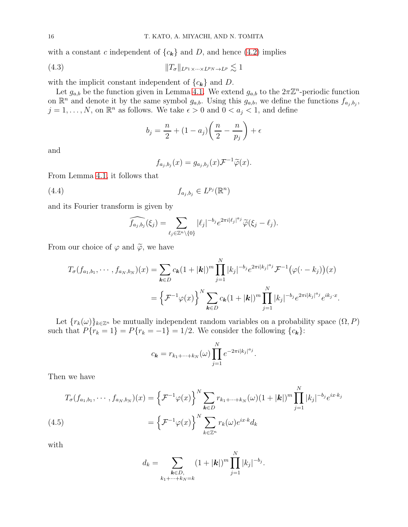with a constant c independent of  ${c_k}$  and D, and hence [\(4.2\)](#page-14-2) implies

$$
(4.3) \t\t\t\t ||T_{\sigma}||_{L^{p_1} \times \cdots \times L^{p_N} \to L^p} \lesssim 1
$$

with the implicit constant independent of  ${c_k}$  and D.

Let  $g_{a,b}$  be the function given in Lemma [4.1.](#page-14-3) We extend  $g_{a,b}$  to the  $2\pi\mathbb{Z}^n$ -periodic function on  $\mathbb{R}^n$  and denote it by the same symbol  $g_{a,b}$ . Using this  $g_{a,b}$ , we define the functions  $f_{a_j,b_j}$ ,  $j = 1, \ldots, N$ , on  $\mathbb{R}^n$  as follows. We take  $\epsilon > 0$  and  $0 < a_j < 1$ , and define

<span id="page-15-1"></span>
$$
b_j = \frac{n}{2} + (1 - a_j) \left( \frac{n}{2} - \frac{n}{p_j} \right) + \epsilon
$$

and

<span id="page-15-2"></span>
$$
f_{a_j,b_j}(x) = g_{a_j,b_j}(x) \mathcal{F}^{-1} \widetilde{\varphi}(x).
$$

From Lemma [4.1,](#page-14-3) it follows that

$$
(4.4) \t\t f_{a_j,b_j} \in L^{p_j}(\mathbb{R}^n)
$$

and its Fourier transform is given by

$$
\widehat{f_{a_j,b_j}}(\xi_j) = \sum_{\ell_j \in \mathbb{Z}^n \setminus \{0\}} |\ell_j|^{-b_j} e^{2\pi i |\ell_j|^{a_j}} \widetilde{\varphi}(\xi_j - \ell_j).
$$

From our choice of  $\varphi$  and  $\widetilde{\varphi}$ , we have

$$
T_{\sigma}(f_{a_1,b_1},\cdots,f_{a_N,b_N})(x) = \sum_{\mathbf{k}\in D} c_{\mathbf{k}}(1+|\mathbf{k}|)^m \prod_{j=1}^N |k_j|^{-b_j} e^{2\pi i |k_j|^a_j} \mathcal{F}^{-1}(\varphi(\cdot-k_j))(x)
$$
  
=  $\left\{ \mathcal{F}^{-1}\varphi(x) \right\}^N \sum_{\mathbf{k}\in D} c_{\mathbf{k}}(1+|\mathbf{k}|)^m \prod_{j=1}^N |k_j|^{-b_j} e^{2\pi i |k_j|^a_j} e^{ik_j \cdot x}.$ 

Let  ${r_k(\omega)}_{k \in \mathbb{Z}^n}$  be mutually independent random variables on a probability space  $(\Omega, P)$ such that  $P\{r_k = 1\} = P\{r_k = -1\} = 1/2$ . We consider the following  $\{c_k\}$ :

$$
c_{\mathbf{k}} = r_{k_1 + \dots + k_N}(\omega) \prod_{j=1}^N e^{-2\pi i |k_j|^{a_j}}.
$$

Then we have

$$
T_{\sigma}(f_{a_1,b_1},\cdots,f_{a_N,b_N})(x) = \left\{\mathcal{F}^{-1}\varphi(x)\right\}^N \sum_{\mathbf{k}\in D} r_{k_1+\cdots+k_N}(\omega)(1+|\mathbf{k}|)^m \prod_{j=1}^N |k_j|^{-b_j} e^{ix\cdot k_j}
$$
\n
$$
(4.5) \qquad \qquad = \left\{\mathcal{F}^{-1}\varphi(x)\right\}^N \sum_{k\in\mathbb{Z}^n} r_k(\omega)e^{ix\cdot k}d_k
$$

<span id="page-15-0"></span>with

$$
d_k = \sum_{\substack{k \in D, \\ k_1 + \dots + k_N = k}} (1 + |k|)^m \prod_{j=1}^N |k_j|^{-b_j}.
$$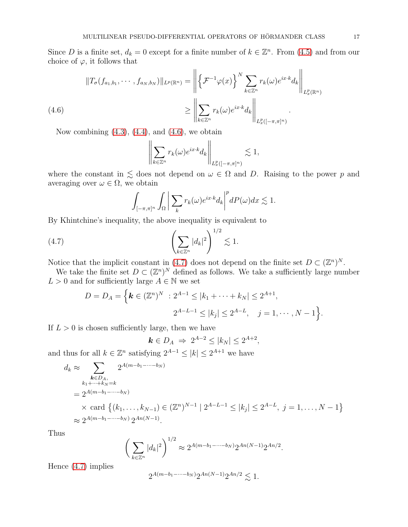Since D is a finite set,  $d_k = 0$  except for a finite number of  $k \in \mathbb{Z}^n$ . From [\(4.5\)](#page-15-0) and from our choice of  $\varphi$ , it follows that

(4.6)  

$$
||T_{\sigma}(f_{a_1,b_1},\cdots,f_{a_N,b_N})||_{L^p(\mathbb{R}^n)} = \left\| \left\{ \mathcal{F}^{-1}\varphi(x) \right\}^N \sum_{k\in\mathbb{Z}^n} r_k(\omega) e^{ix\cdot k} d_k \right\|_{L_x^p(\mathbb{R}^n)}
$$

$$
\geq \left\| \sum_{k\in\mathbb{Z}^n} r_k(\omega) e^{ix\cdot k} d_k \right\|_{L_x^p([-\pi,\pi]^n)}
$$

<span id="page-16-0"></span>Now combining  $(4.3)$ ,  $(4.4)$ , and  $(4.6)$ , we obtain

$$
\left\| \sum_{k \in \mathbb{Z}^n} r_k(\omega) e^{ix \cdot k} d_k \right\|_{L^p_x([-\pi,\pi]^n)} \lesssim 1,
$$

where the constant in  $\leq$  does not depend on  $\omega \in \Omega$  and D. Raising to the power p and averaging over  $\omega \in \Omega$ , we obtain

<span id="page-16-1"></span>
$$
\int_{[-\pi,\pi]^n} \int_{\Omega} \bigg| \sum_{k} r_k(\omega) e^{ix \cdot k} d_k \bigg|^p dP(\omega) dx \lesssim 1.
$$

By Khintchine's inequality, the above inequality is equivalent to

$$
(4.7) \qquad \qquad \left(\sum_{k\in\mathbb{Z}^n}|d_k|^2\right)^{1/2}\lesssim 1.
$$

Notice that the implicit constant in [\(4.7\)](#page-16-1) does not depend on the finite set  $D \subset (\mathbb{Z}^n)^N$ .

We take the finite set  $D \subset (\mathbb{Z}^n)^N$  defined as follows. We take a sufficiently large number  $L>0$  and for sufficiently large  $A\in\mathbb{N}$  we set

$$
D = D_A = \Big\{ \mathbf{k} \in (\mathbb{Z}^n)^N \ : 2^{A-1} \le |k_1 + \dots + k_N| \le 2^{A+1},
$$
  

$$
2^{A-L-1} \le |k_j| \le 2^{A-L}, \quad j = 1, \cdots, N-1 \Big\}.
$$

If  $L > 0$  is chosen sufficiently large, then we have

$$
\mathbf{k} \in D_A \Rightarrow 2^{A-2} \le |k_N| \le 2^{A+2},
$$

and thus for all  $k \in \mathbb{Z}^n$  satisfying  $2^{A-1} \leq |k| \leq 2^{A+1}$  we have

$$
d_k \approx \sum_{\substack{k \in D_A, \\ k_1 + \dots + k_N = k}} 2^{A(m - b_1 - \dots - b_N)}
$$
  
=  $2^{A(m - b_1 - \dots - b_N)}$   
 $\times$  card  $\{(k_1, \dots, k_{N-1}) \in (\mathbb{Z}^n)^{N-1} \mid 2^{A-L-1} \le |k_j| \le 2^{A-L}, j = 1, \dots, N-1\}$   
 $\approx 2^{A(m - b_1 - \dots - b_N)} 2^{An(N-1)}.$ 

Thus

$$
\left(\sum_{k\in\mathbb{Z}^n} |d_k|^2\right)^{1/2} \approx 2^{A(m-b_1-\cdots-b_N)} 2^{An(N-1)} 2^{An/2}.
$$

Hence [\(4.7\)](#page-16-1) implies

$$
2^{A(m-b_1-\cdots-b_N)}2^{An(N-1)}2^{An/2} \lesssim 1.
$$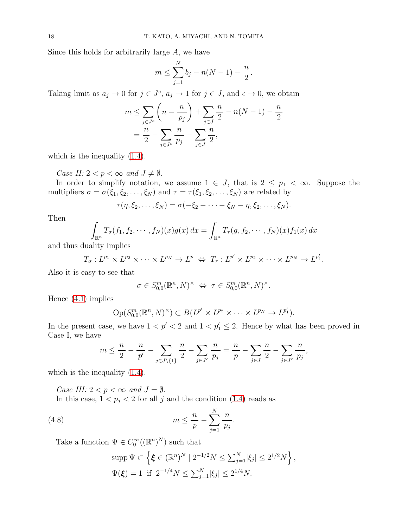Since this holds for arbitrarily large A, we have

$$
m \le \sum_{j=1}^{N} b_j - n(N-1) - \frac{n}{2}
$$

.

Taking limit as  $a_j \to 0$  for  $j \in J^c$ ,  $a_j \to 1$  for  $j \in J$ , and  $\epsilon \to 0$ , we obtain

$$
m \le \sum_{j \in J^c} \left( n - \frac{n}{p_j} \right) + \sum_{j \in J} \frac{n}{2} - n(N - 1) - \frac{n}{2}
$$
  
=  $\frac{n}{2} - \sum_{j \in J^c} \frac{n}{p_j} - \sum_{j \in J} \frac{n}{2}$ ,

which is the inequality  $(1.4)$ .

Case II:  $2 < p < \infty$  and  $J \neq \emptyset$ .

In order to simplify notation, we assume  $1 \in J$ , that is  $2 \leq p_1 < \infty$ . Suppose the multipliers  $\sigma = \sigma(\xi_1, \xi_2, \dots, \xi_N)$  and  $\tau = \tau(\xi_1, \xi_2, \dots, \xi_N)$  are related by

$$
\tau(\eta,\xi_2,\ldots,\xi_N)=\sigma(-\xi_2-\cdots-\xi_N-\eta,\xi_2,\ldots,\xi_N).
$$

Then

$$
\int_{\mathbb{R}^n} T_{\sigma}(f_1, f_2, \cdots, f_N)(x) g(x) dx = \int_{\mathbb{R}^n} T_{\tau}(g, f_2, \cdots, f_N)(x) f_1(x) dx
$$

and thus duality implies

$$
T_{\sigma}: L^{p_1} \times L^{p_2} \times \cdots \times L^{p_N} \to L^p \iff T_{\tau}: L^{p'} \times L^{p_2} \times \cdots \times L^{p_N} \to L^{p'_1}.
$$

Also it is easy to see that

$$
\sigma \in S^m_{0,0}(\mathbb{R}^n, N)^\times \Leftrightarrow \tau \in S^m_{0,0}(\mathbb{R}^n, N)^\times.
$$

Hence [\(4.1\)](#page-14-1) implies

$$
\mathrm{Op}(S^{m}_{0,0}(\mathbb{R}^n,N)^{\times}) \subset B(L^{p'} \times L^{p_2} \times \cdots \times L^{p_N} \to L^{p'_1}).
$$

In the present case, we have  $1 < p' < 2$  and  $1 < p'_1 \le 2$ . Hence by what has been proved in Case I, we have

$$
m \le \frac{n}{2} - \frac{n}{p'} - \sum_{j \in J \setminus \{1\}} \frac{n}{2} - \sum_{j \in J^c} \frac{n}{p_j} = \frac{n}{p} - \sum_{j \in J} \frac{n}{2} - \sum_{j \in J^c} \frac{n}{p_j},
$$

which is the inequality  $(1.4)$ .

Case III:  $2 < p < \infty$  and  $J = \emptyset$ .

In this case,  $1 < p_j < 2$  for all j and the condition [\(1.4\)](#page-2-0) reads as

$$
(4.8)\qquad \qquad m \leq \frac{n}{p} - \sum_{j=1}^{N} \frac{n}{p_j}
$$

Take a function  $\Psi \in C_0^{\infty}((\mathbb{R}^n)^N)$  such that

$$
\text{supp}\,\Psi\subset\left\{\xi\in(\mathbb{R}^n)^N\mid 2^{-1/2}N\leq \sum_{j=1}^N|\xi_j|\leq 2^{1/2}N\right\},\
$$
  

$$
\Psi(\xi)=1\,\text{ if }\,2^{-1/4}N\leq \sum_{j=1}^N|\xi_j|\leq 2^{1/4}N.
$$

<span id="page-17-0"></span>.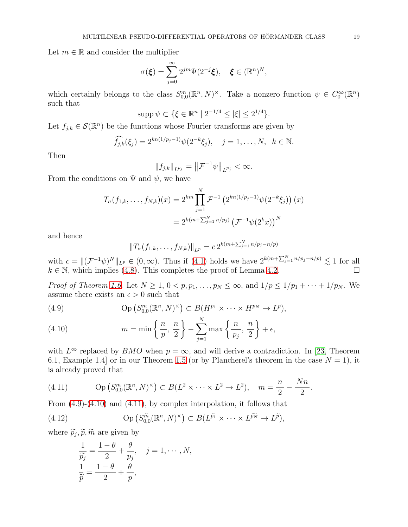Let  $m \in \mathbb{R}$  and consider the multiplier

$$
\sigma(\boldsymbol{\xi}) = \sum_{j=0}^{\infty} 2^{jm} \Psi(2^{-j}\boldsymbol{\xi}), \quad \boldsymbol{\xi} \in (\mathbb{R}^n)^N,
$$

which certainly belongs to the class  $S_{0,0}^m(\mathbb{R}^n, N)^\times$ . Take a nonzero function  $\psi \in C_0^\infty(\mathbb{R}^n)$ such that

$$
\mathrm{supp}\,\psi\subset\{\xi\in\mathbb{R}^n\mid 2^{-1/4}\leq|\xi|\leq 2^{1/4}\}.
$$

Let  $f_{j,k} \in \mathcal{S}(\mathbb{R}^n)$  be the functions whose Fourier transforms are given by

$$
\widehat{f_{j,k}}(\xi_j) = 2^{kn(1/p_j-1)}\psi(2^{-k}\xi_j), \quad j = 1, ..., N, \ \ k \in \mathbb{N}.
$$

Then

$$
||f_{j,k}||_{L^{p_j}} = ||\mathcal{F}^{-1}\psi||_{L^{p_j}} < \infty.
$$

From the conditions on  $\Psi$  and  $\psi$ , we have

$$
T_{\sigma}(f_{1,k},\ldots,f_{N,k})(x) = 2^{km} \prod_{j=1}^{N} \mathcal{F}^{-1} \left(2^{kn(1/p_j-1)} \psi(2^{-k}\xi_j)\right)(x)
$$
  
= 
$$
2^{k(m+\sum_{j=1}^{N} n/p_j)} \left(\mathcal{F}^{-1}\psi(2^{k}x)\right)^N
$$

and hence

$$
||T_{\sigma}(f_{1,k},\ldots,f_{N,k})||_{L^{p}} = c 2^{k(m+\sum_{j=1}^{N} n/p_{j}-n/p)}
$$

with  $c = ||(\mathcal{F}^{-1}\psi)^N||_{L^p} \in (0,\infty)$ . Thus if  $(4.1)$  holds we have  $2^{k(m+\sum_{j=1}^N n/p_j - n/p)} \lesssim 1$  for all  $k \in \mathbb{N}$ , which implies [\(4.8\)](#page-17-0). This completes the proof of Lemma [4.2.](#page-14-4)

*Proof of Theorem [1.6.](#page-3-2)* Let  $N \geq 1, 0 < p, p_1, \ldots, p_N \leq \infty$ , and  $1/p \leq 1/p_1 + \cdots + 1/p_N$ . We assume there exists an  $\epsilon > 0$  such that

<span id="page-18-0"></span>(4.9) 
$$
\text{Op}\left(S_{0,0}^m(\mathbb{R}^n, N)^\times\right) \subset B(H^{p_1} \times \cdots \times H^{p_N} \to L^p),
$$

<span id="page-18-1"></span>(4.10) 
$$
m = \min\left\{\frac{n}{p}, \frac{n}{2}\right\} - \sum_{j=1}^{N} \max\left\{\frac{n}{p_j}, \frac{n}{2}\right\} + \epsilon,
$$

with  $L^{\infty}$  replaced by BMO when  $p = \infty$ , and will derive a contradiction. In [\[23,](#page-19-8) Theorem 6.1, Example 1.4 or in our Theorem [1.5](#page-3-1) (or by Plancherel's theorem in the case  $N = 1$ ), it is already proved that

.

<span id="page-18-2"></span>(4.11) 
$$
\text{Op}(S_{0,0}^m(\mathbb{R}^n, N)^\times) \subset B(L^2 \times \cdots \times L^2 \to L^2), \quad m = \frac{n}{2} - \frac{Nn}{2}
$$

From [\(4.9\)](#page-18-0)-[\(4.10\)](#page-18-1) and [\(4.11\)](#page-18-2), by complex interpolation, it follows that

(4.12) 
$$
\text{Op}\left(S_{0,0}^{\widetilde{m}}(\mathbb{R}^n,N)^{\times}\right) \subset B(L^{\widetilde{p_1}} \times \cdots \times L^{\widetilde{p_N}} \to L^{\widetilde{p}}),
$$

where  $\tilde{p}_j, \tilde{p}, \tilde{m}$  are given by

<span id="page-18-3"></span>
$$
\frac{1}{\widetilde{p}_j} = \frac{1-\theta}{2} + \frac{\theta}{p_j}, \quad j = 1, \cdots, N,
$$
  

$$
\frac{1}{\widetilde{p}} = \frac{1-\theta}{2} + \frac{\theta}{p},
$$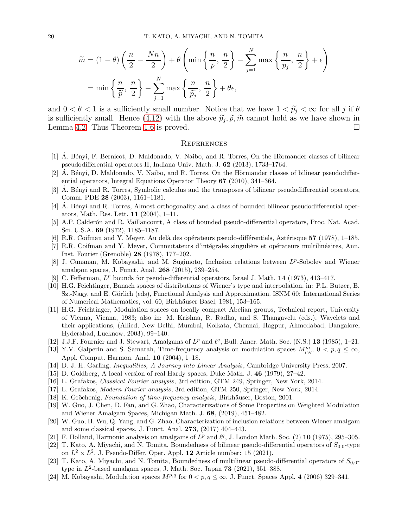$$
\widetilde{m} = (1 - \theta) \left( \frac{n}{2} - \frac{Nn}{2} \right) + \theta \left( \min \left\{ \frac{n}{p}, \frac{n}{2} \right\} - \sum_{j=1}^{N} \max \left\{ \frac{n}{p_j}, \frac{n}{2} \right\} + \epsilon \right)
$$

$$
= \min \left\{ \frac{n}{\widetilde{p}}, \frac{n}{2} \right\} - \sum_{j=1}^{N} \max \left\{ \frac{n}{\widetilde{p_j}}, \frac{n}{2} \right\} + \theta \epsilon,
$$

and  $0 < \theta < 1$  is a sufficiently small number. Notice that we have  $1 < \tilde{p}_i < \infty$  for all j if  $\theta$ is sufficiently small. Hence  $(4.12)$  with the above  $\tilde{p}_j$ ,  $\tilde{p}$ ,  $\tilde{m}$  cannot hold as we have shown in Lemma [4.2.](#page-14-4) Thus Theorem [1.6](#page-3-2) is proved.

#### **REFERENCES**

- <span id="page-19-3"></span>[1] A. Bényi, F. Bernicot, D. Maldonado, V. Naibo, and R. Torres, On the Hörmander classes of bilinear pseudodifferential operators II, Indiana Univ. Math. J. 62 (2013), 1733–1764.
- <span id="page-19-2"></span> $[2]$   $\AA$ . Bényi, D. Maldonado, V. Naibo, and R. Torres, On the Hörmander classes of bilinear pseudodifferential operators, Integral Equations Operator Theory 67 (2010), 341–364.
- <span id="page-19-0"></span>[3] A. Bényi and R. Torres, Symbolic calculus and the transposes of bilinear pseudodifferential operators, Comm. PDE 28 (2003), 1161–1181.
- <span id="page-19-1"></span>[4]  $\AA$ . Bényi and R. Torres, Almost orthogonality and a class of bounded bilinear pseudodifferential operators, Math. Res. Lett. 11 (2004), 1–11.
- <span id="page-19-4"></span>[5] A.P. Calderón and R. Vaillancourt, A class of bounded pseudo-differential operators, Proc. Nat. Acad. Sci. U.S.A. 69 (1972), 1185–1187.
- <span id="page-19-18"></span><span id="page-19-6"></span>[6] R.R. Coifman and Y. Meyer, Au delà des opérateurs pseudo-différentiels, Astérisque 57 (1978), 1–185.
- [7] R.R. Coifman and Y. Meyer, Commutateurs d'intégrales singulièrs et opérateurs multilinéaires, Ann. Inst. Fourier (Grenoble) 28 (1978), 177–202.
- <span id="page-19-15"></span>[8] J. Cunanan, M. Kobayashi, and M. Sugimoto, Inclusion relations between  $L^p$ -Sobolev and Wiener amalgam spaces, J. Funct. Anal. 268 (2015), 239–254.
- <span id="page-19-9"></span><span id="page-19-5"></span>[9] C. Fefferman,  $L^p$  bounds for pseudo-differential operators, Israel J. Math. 14 (1973), 413-417.
- [10] H.G. Feichtinger, Banach spaces of distributions of Wiener's type and interpolation, in: P.L. Butzer, B. Sz.-Nagy, and E. Görlich (eds), Functional Analysis and Approximation. ISNM 60: International Series of Numerical Mathematics, vol. 60, Birkhäuser Basel, 1981, 153–165.
- <span id="page-19-10"></span>[11] H.G. Feichtinger, Modulation spaces on locally compact Abelian groups, Technical report, University of Vienna, Vienna, 1983; also in: M. Krishna, R. Radha, and S. Thangavelu (eds.), Wavelets and their applications, (Allied, New Delhi, Mumbai, Kolkata, Chennai, Hagpur, Ahmedabad, Bangalore, Hyderabad, Lucknow, 2003), 99–140.
- <span id="page-19-12"></span>[12] J.J.F. Fournier and J. Stewart, Amalgams of  $L^p$  and  $\ell^q$ , Bull. Amer. Math. Soc. (N.S.) 13 (1985), 1-21.
- [13] Y.V. Galperin and S. Samarah, Time-frequency analysis on modulation spaces  $M_{p,q}^m$ ,  $0 < p,q \leq \infty$ , Appl. Comput. Harmon. Anal. 16 (2004), 1–18.
- <span id="page-19-17"></span>[14] D. J. H. Garling, Inequalities, A Journey into Linear Analysis, Cambridge University Press, 2007.
- [15] D. Goldberg, A local version of real Hardy spaces, Duke Math. J. 46 (1979), 27–42.
- [16] L. Grafakos, Classical Fourier analysis, 3rd edition, GTM 249, Springer, New York, 2014.
- <span id="page-19-11"></span>[17] L. Grafakos, Modern Fourier analysis, 3rd edition, GTM 250, Springer, New York, 2014.
- <span id="page-19-14"></span>[18] K. Gröchenig, Foundation of time-frequency analysis, Birkhäuser, Boston, 2001.
- [19] W. Guo, J. Chen, D. Fan, and G. Zhao, Characterizations of Some Properties on Weighted Modulation and Wiener Amalgam Spaces, Michigan Math. J. 68, (2019), 451–482.
- <span id="page-19-16"></span>[20] W. Guo, H. Wu, Q. Yang, and G. Zhao, Characterization of inclusion relations between Wiener amalgam and some classical spaces, J. Funct. Anal. 273, (2017) 404–443.
- <span id="page-19-7"></span>[21] F. Holland, Harmonic analysis on amalgams of  $L^p$  and  $\ell^q$ , J. London Math. Soc. (2) 10 (1975), 295-305.
- [22] T. Kato, A. Miyachi, and N. Tomita, Boundedness of bilinear pseudo-differential operators of  $S_{0,0}$ -type on  $L^2 \times L^2$ , J. Pseudo-Differ. Oper. Appl. 12 Article number: 15 (2021).
- <span id="page-19-8"></span>[23] T. Kato, A. Miyachi, and N. Tomita, Boundedness of multilinear pseudo-differential operators of  $S_{0,0}$ type in  $L^2$ -based amalgam spaces, J. Math. Soc. Japan 73 (2021), 351–388.
- <span id="page-19-13"></span>[24] M. Kobayashi, Modulation spaces  $M^{p,q}$  for  $0 < p, q \le \infty$ , J. Funct. Spaces Appl. 4 (2006) 329–341.